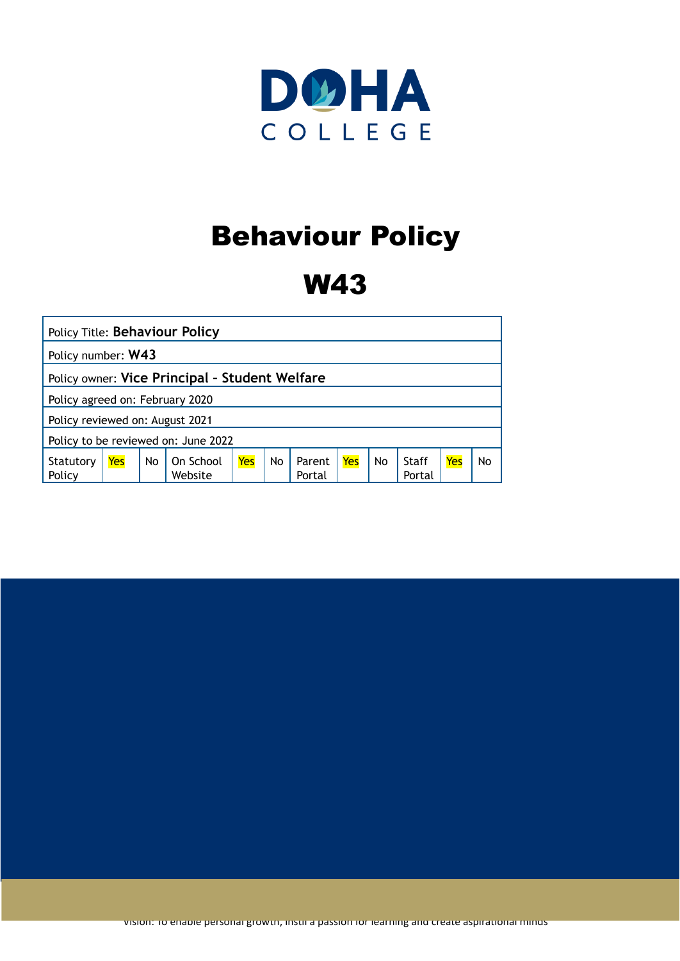

# Behaviour Policy

# W43

| Policy Title: Behaviour Policy                 |                                 |    |                      |     |    |                  |     |    |                 |     |    |
|------------------------------------------------|---------------------------------|----|----------------------|-----|----|------------------|-----|----|-----------------|-----|----|
| Policy number: W43                             |                                 |    |                      |     |    |                  |     |    |                 |     |    |
| Policy owner: Vice Principal - Student Welfare |                                 |    |                      |     |    |                  |     |    |                 |     |    |
|                                                | Policy agreed on: February 2020 |    |                      |     |    |                  |     |    |                 |     |    |
|                                                | Policy reviewed on: August 2021 |    |                      |     |    |                  |     |    |                 |     |    |
| Policy to be reviewed on: June 2022            |                                 |    |                      |     |    |                  |     |    |                 |     |    |
| Statutory<br>Policy                            | Yes                             | No | On School<br>Website | Yes | No | Parent<br>Portal | Yes | No | Staff<br>Portal | Yes | No |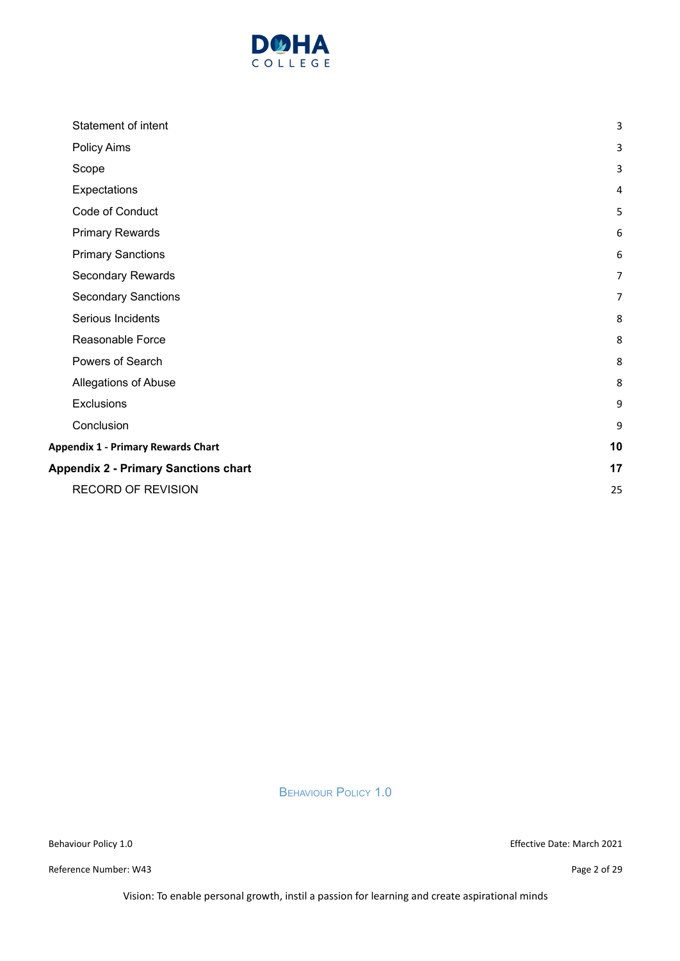

| Statement of intent                         | 3              |
|---------------------------------------------|----------------|
| Policy Aims                                 | 3              |
| Scope                                       | 3              |
| Expectations                                | 4              |
| Code of Conduct                             | 5              |
| <b>Primary Rewards</b>                      | 6              |
| <b>Primary Sanctions</b>                    | 6              |
| Secondary Rewards                           | $\overline{7}$ |
| <b>Secondary Sanctions</b>                  | $\overline{7}$ |
| Serious Incidents                           | 8              |
| Reasonable Force                            | 8              |
| Powers of Search                            | 8              |
| Allegations of Abuse                        | 8              |
| Exclusions                                  | 9              |
| Conclusion                                  | 9              |
| <b>Appendix 1 - Primary Rewards Chart</b>   | 10             |
| <b>Appendix 2 - Primary Sanctions chart</b> | 17             |
| <b>RECORD OF REVISION</b>                   | 25             |
|                                             |                |

BEHAVIOUR POLICY 1.0

Reference Number: W43 Page 2 of 29

Behaviour Policy 1.0 **Effective Date: March 2021**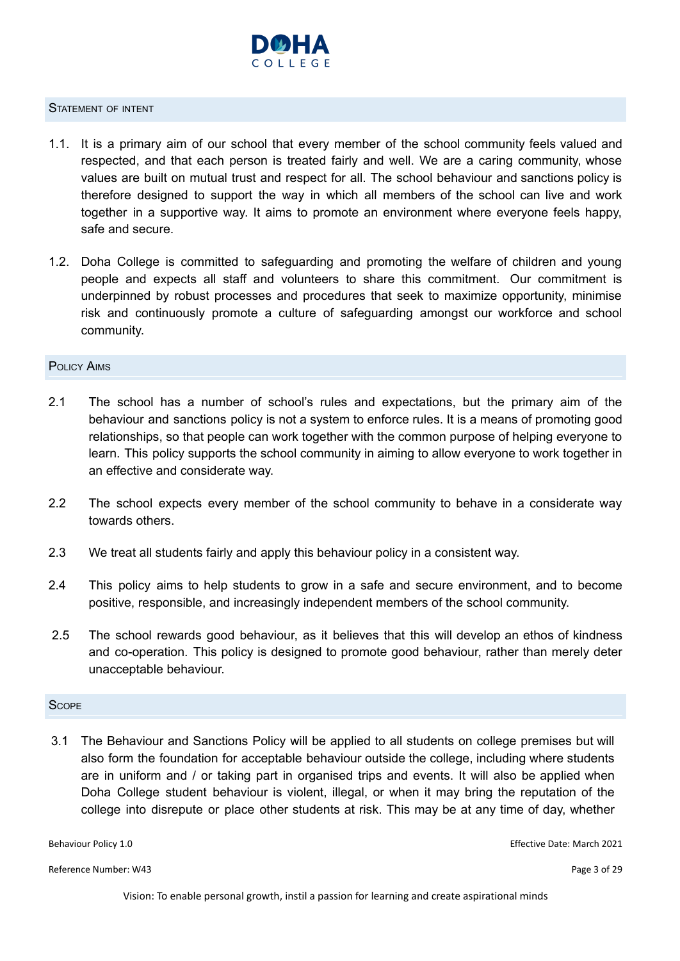

#### <span id="page-2-0"></span>STATEMENT OF INTENT

- 1.1. It is a primary aim of our school that every member of the school community feels valued and respected, and that each person is treated fairly and well. We are a caring community, whose values are built on mutual trust and respect for all. The school behaviour and sanctions policy is therefore designed to support the way in which all members of the school can live and work together in a supportive way. It aims to promote an environment where everyone feels happy, safe and secure.
- 1.2. Doha College is committed to safeguarding and promoting the welfare of children and young people and expects all staff and volunteers to share this commitment. Our commitment is underpinned by robust processes and procedures that seek to maximize opportunity, minimise risk and continuously promote a culture of safeguarding amongst our workforce and school community.

#### <span id="page-2-1"></span>POLICY AIMS

- 2.1 The school has a number of school's rules and expectations, but the primary aim of the behaviour and sanctions policy is not a system to enforce rules. It is a means of promoting good relationships, so that people can work together with the common purpose of helping everyone to learn. This policy supports the school community in aiming to allow everyone to work together in an effective and considerate way.
- 2.2 The school expects every member of the school community to behave in a considerate way towards others.
- 2.3 We treat all students fairly and apply this behaviour policy in a consistent way.
- 2.4 This policy aims to help students to grow in a safe and secure environment, and to become positive, responsible, and increasingly independent members of the school community.
- 2.5 The school rewards good behaviour, as it believes that this will develop an ethos of kindness and co-operation. This policy is designed to promote good behaviour, rather than merely deter unacceptable behaviour.

#### <span id="page-2-2"></span>**SCOPE**

3.1 The Behaviour and Sanctions Policy will be applied to all students on college premises but will also form the foundation for acceptable behaviour outside the college, including where students are in uniform and / or taking part in organised trips and events. It will also be applied when Doha College student behaviour is violent, illegal, or when it may bring the reputation of the college into disrepute or place other students at risk. This may be at any time of day, whether

Reference Number: W43 Page 3 of 29

Behaviour Policy 1.0 Effective Date: March 2021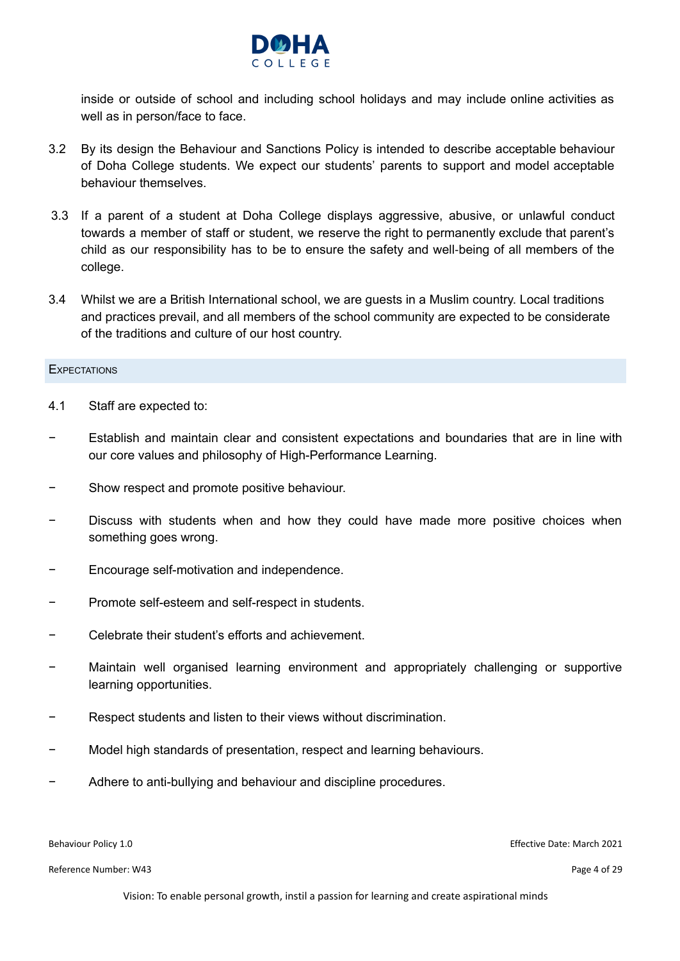

inside or outside of school and including school holidays and may include online activities as well as in person/face to face.

- 3.2 By its design the Behaviour and Sanctions Policy is intended to describe acceptable behaviour of Doha College students. We expect our students' parents to support and model acceptable behaviour themselves.
- 3.3 If a parent of a student at Doha College displays aggressive, abusive, or unlawful conduct towards a member of staff or student, we reserve the right to permanently exclude that parent's child as our responsibility has to be to ensure the safety and well‐being of all members of the college.
- 3.4 Whilst we are a British International school, we are guests in a Muslim country. Local traditions and practices prevail, and all members of the school community are expected to be considerate of the traditions and culture of our host country.

#### <span id="page-3-0"></span>**EXPECTATIONS**

- 4.1 Staff are expected to:
- Establish and maintain clear and consistent expectations and boundaries that are in line with our core values and philosophy of High-Performance Learning.
- Show respect and promote positive behaviour.
- Discuss with students when and how they could have made more positive choices when something goes wrong.
- Encourage self-motivation and independence.
- − Promote self-esteem and self-respect in students.
- − Celebrate their student's efforts and achievement.
- Maintain well organised learning environment and appropriately challenging or supportive learning opportunities.
- − Respect students and listen to their views without discrimination.
- − Model high standards of presentation, respect and learning behaviours.
- Adhere to anti-bullying and behaviour and discipline procedures.

Reference Number: W43 Page 4 of 29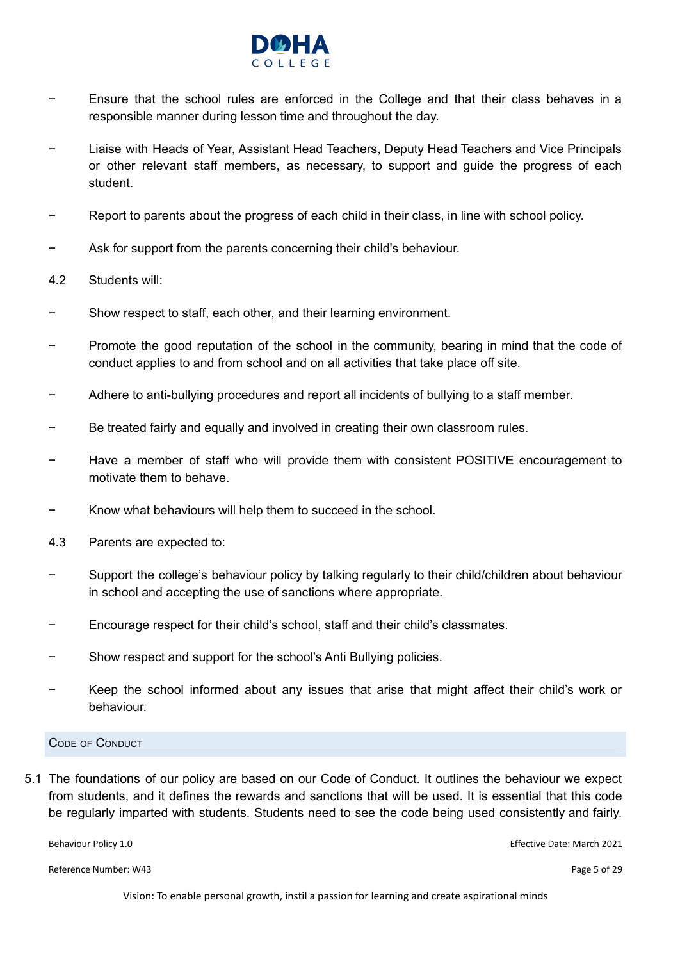

- Ensure that the school rules are enforced in the College and that their class behaves in a responsible manner during lesson time and throughout the day.
- − Liaise with Heads of Year, Assistant Head Teachers, Deputy Head Teachers and Vice Principals or other relevant staff members, as necessary, to support and guide the progress of each student.
- Report to parents about the progress of each child in their class, in line with school policy.
- Ask for support from the parents concerning their child's behaviour.
- 4.2 Students will:
- Show respect to staff, each other, and their learning environment.
- Promote the good reputation of the school in the community, bearing in mind that the code of conduct applies to and from school and on all activities that take place off site.
- − Adhere to anti-bullying procedures and report all incidents of bullying to a staff member.
- Be treated fairly and equally and involved in creating their own classroom rules.
- − Have a member of staff who will provide them with consistent POSITIVE encouragement to motivate them to behave.
- Know what behaviours will help them to succeed in the school.
- 4.3 Parents are expected to:
- Support the college's behaviour policy by talking regularly to their child/children about behaviour in school and accepting the use of sanctions where appropriate.
- − Encourage respect for their child's school, staff and their child's classmates.
- Show respect and support for the school's Anti Bullying policies.
- Keep the school informed about any issues that arise that might affect their child's work or behaviour.

#### <span id="page-4-0"></span>CODE OF CONDUCT

5.1 The foundations of our policy are based on our Code of Conduct. It outlines the behaviour we expect from students, and it defines the rewards and sanctions that will be used. It is essential that this code be regularly imparted with students. Students need to see the code being used consistently and fairly.

Reference Number: W43 Page 5 of 29

Behaviour Policy 1.0 Effective Date: March 2021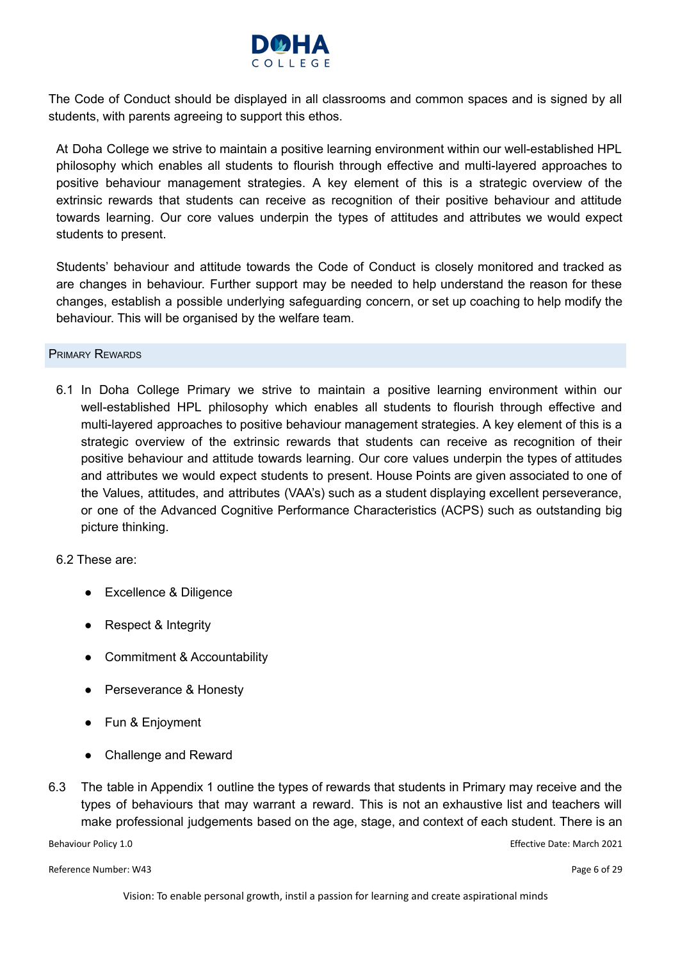

The Code of Conduct should be displayed in all classrooms and common spaces and is signed by all students, with parents agreeing to support this ethos.

At Doha College we strive to maintain a positive learning environment within our well-established HPL philosophy which enables all students to flourish through effective and multi-layered approaches to positive behaviour management strategies. A key element of this is a strategic overview of the extrinsic rewards that students can receive as recognition of their positive behaviour and attitude towards learning. Our core values underpin the types of attitudes and attributes we would expect students to present.

Students' behaviour and attitude towards the Code of Conduct is closely monitored and tracked as are changes in behaviour. Further support may be needed to help understand the reason for these changes, establish a possible underlying safeguarding concern, or set up coaching to help modify the behaviour. This will be organised by the welfare team.

#### <span id="page-5-0"></span>PRIMARY REWARDS

6.1 In Doha College Primary we strive to maintain a positive learning environment within our well-established HPL philosophy which enables all students to flourish through effective and multi-layered approaches to positive behaviour management strategies. A key element of this is a strategic overview of the extrinsic rewards that students can receive as recognition of their positive behaviour and attitude towards learning. Our core values underpin the types of attitudes and attributes we would expect students to present. House Points are given associated to one of the Values, attitudes, and attributes (VAA's) such as a student displaying excellent perseverance, or one of the Advanced Cognitive Performance Characteristics (ACPS) such as outstanding big picture thinking.

#### 6.2 These are:

- Excellence & Diligence
- Respect & Integrity
- Commitment & Accountability
- Perseverance & Honesty
- Fun & Enjoyment
- Challenge and Reward
- 6.3 The table in Appendix 1 outline the types of rewards that students in Primary may receive and the types of behaviours that may warrant a reward. This is not an exhaustive list and teachers will make professional judgements based on the age, stage, and context of each student. There is an

Reference Number: W43 Page 6 of 29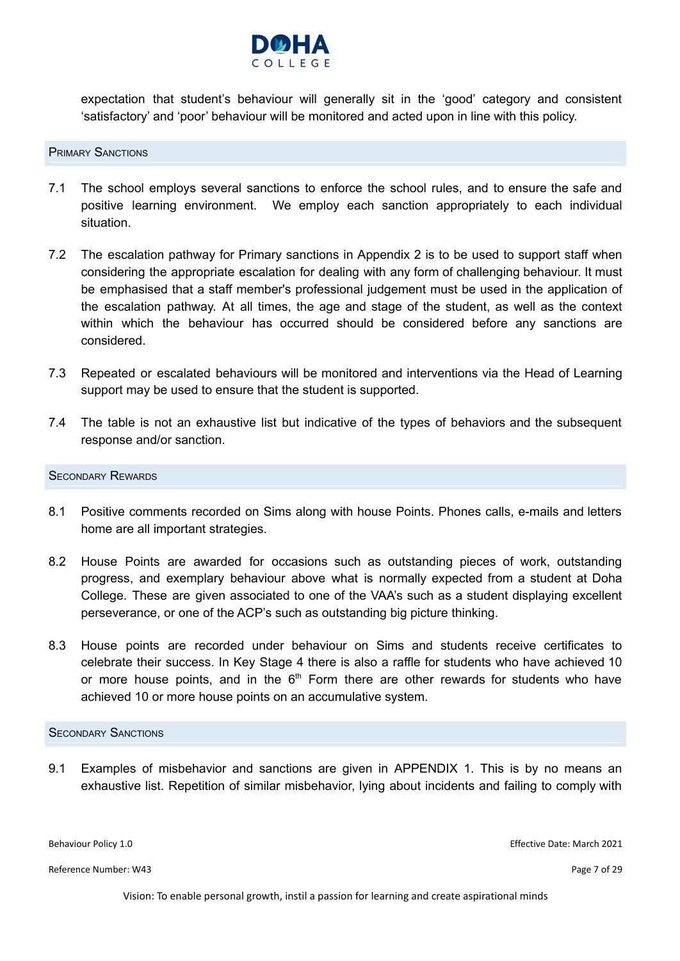

expectation that student's behaviour will generally sit in the 'good' category and consistent 'satisfactory' and 'poor' behaviour will be monitored and acted upon in line with this policy.

#### <span id="page-6-0"></span>PRIMARY SANCTIONS

- 7.1 The school employs several sanctions to enforce the school rules, and to ensure the safe and positive learning environment. We employ each sanction appropriately to each individual situation.
- 7.2 The escalation pathway for Primary sanctions in Appendix 2 is to be used to support staff when considering the appropriate escalation for dealing with any form of challenging behaviour. It must be emphasised that a staff member's professional judgement must be used in the application of the escalation pathway. At all times, the age and stage of the student, as well as the context within which the behaviour has occurred should be considered before any sanctions are considered.
- 7.3 Repeated or escalated behaviours will be monitored and interventions via the Head of Learning support may be used to ensure that the student is supported.
- 7.4 The table is not an exhaustive list but indicative of the types of behaviors and the subsequent response and/or sanction.

#### <span id="page-6-1"></span>SECONDARY REWARDS

- 8.1 Positive comments recorded on Sims along with house Points. Phones calls, e-mails and letters home are all important strategies.
- 8.2 House Points are awarded for occasions such as outstanding pieces of work, outstanding progress, and exemplary behaviour above what is normally expected from a student at Doha College. These are given associated to one of the VAA's such as a student displaying excellent perseverance, or one of the ACP's such as outstanding big picture thinking.
- 8.3 House points are recorded under behaviour on Sims and students receive certificates to celebrate their success. In Key Stage 4 there is also a raffle for students who have achieved 10 or more house points, and in the  $6<sup>th</sup>$  Form there are other rewards for students who have achieved 10 or more house points on an accumulative system.

#### <span id="page-6-2"></span>SECONDARY SANCTIONS

9.1 Examples of misbehavior and sanctions are given in APPENDIX 1. This is by no means an exhaustive list. Repetition of similar misbehavior, lying about incidents and failing to comply with

Reference Number: W43 Page 7 of 29

Behaviour Policy 1.0 Effective Date: March 2021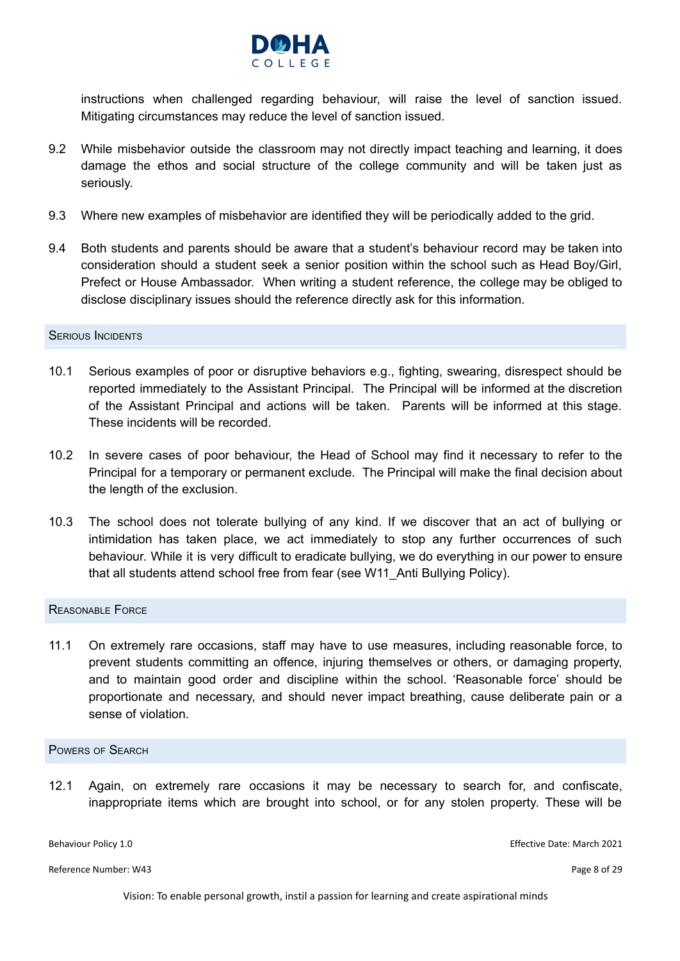

instructions when challenged regarding behaviour, will raise the level of sanction issued. Mitigating circumstances may reduce the level of sanction issued.

- 9.2 While misbehavior outside the classroom may not directly impact teaching and learning, it does damage the ethos and social structure of the college community and will be taken just as seriously.
- 9.3 Where new examples of misbehavior are identified they will be periodically added to the grid.
- 9.4 Both students and parents should be aware that a student's behaviour record may be taken into consideration should a student seek a senior position within the school such as Head Boy/Girl, Prefect or House Ambassador. When writing a student reference, the college may be obliged to disclose disciplinary issues should the reference directly ask for this information.

#### <span id="page-7-0"></span>SERIOUS INCIDENTS

- 10.1 Serious examples of poor or disruptive behaviors e.g., fighting, swearing, disrespect should be reported immediately to the Assistant Principal. The Principal will be informed at the discretion of the Assistant Principal and actions will be taken. Parents will be informed at this stage. These incidents will be recorded.
- 10.2 In severe cases of poor behaviour, the Head of School may find it necessary to refer to the Principal for a temporary or permanent exclude. The Principal will make the final decision about the length of the exclusion.
- 10.3 The school does not tolerate bullying of any kind. If we discover that an act of bullying or intimidation has taken place, we act immediately to stop any further occurrences of such behaviour. While it is very difficult to eradicate bullying, we do everything in our power to ensure that all students attend school free from fear (see W11\_Anti Bullying Policy).

#### <span id="page-7-1"></span>REASONABLE FORCE

11.1 On extremely rare occasions, staff may have to use measures, including reasonable force, to prevent students committing an offence, injuring themselves or others, or damaging property, and to maintain good order and discipline within the school. 'Reasonable force' should be proportionate and necessary, and should never impact breathing, cause deliberate pain or a sense of violation.

#### <span id="page-7-2"></span>POWERS OF SEARCH

12.1 Again, on extremely rare occasions it may be necessary to search for, and confiscate, inappropriate items which are brought into school, or for any stolen property. These will be

Reference Number: W43 Page 8 of 29

Behaviour Policy 1.0 Effective Date: March 2021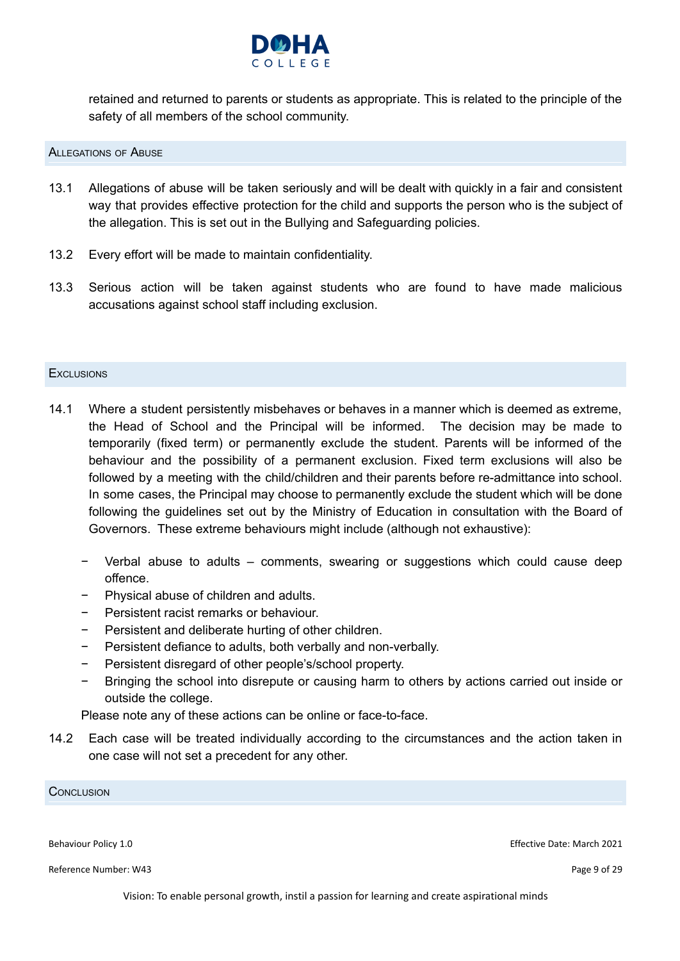

retained and returned to parents or students as appropriate. This is related to the principle of the safety of all members of the school community.

#### <span id="page-8-0"></span>ALLEGATIONS OF ABUSE

- 13.1 Allegations of abuse will be taken seriously and will be dealt with quickly in a fair and consistent way that provides effective protection for the child and supports the person who is the subject of the allegation. This is set out in the Bullying and Safeguarding policies.
- 13.2 Every effort will be made to maintain confidentiality.
- 13.3 Serious action will be taken against students who are found to have made malicious accusations against school staff including exclusion.

#### <span id="page-8-1"></span>Exclusions

- 14.1 Where a student persistently misbehaves or behaves in a manner which is deemed as extreme, the Head of School and the Principal will be informed. The decision may be made to temporarily (fixed term) or permanently exclude the student. Parents will be informed of the behaviour and the possibility of a permanent exclusion. Fixed term exclusions will also be followed by a meeting with the child/children and their parents before re-admittance into school. In some cases, the Principal may choose to permanently exclude the student which will be done following the guidelines set out by the Ministry of Education in consultation with the Board of Governors. These extreme behaviours might include (although not exhaustive):
	- − Verbal abuse to adults comments, swearing or suggestions which could cause deep offence.
	- − Physical abuse of children and adults.
	- − Persistent racist remarks or behaviour.
	- Persistent and deliberate hurting of other children.
	- − Persistent defiance to adults, both verbally and non-verbally.
	- − Persistent disregard of other people's/school property.
	- − Bringing the school into disrepute or causing harm to others by actions carried out inside or outside the college.

Please note any of these actions can be online or face-to-face.

14.2 Each case will be treated individually according to the circumstances and the action taken in one case will not set a precedent for any other.

<span id="page-8-2"></span>**CONCLUSION** 

Reference Number: W43 Page 9 of 29

Behaviour Policy 1.0 Effective Date: March 2021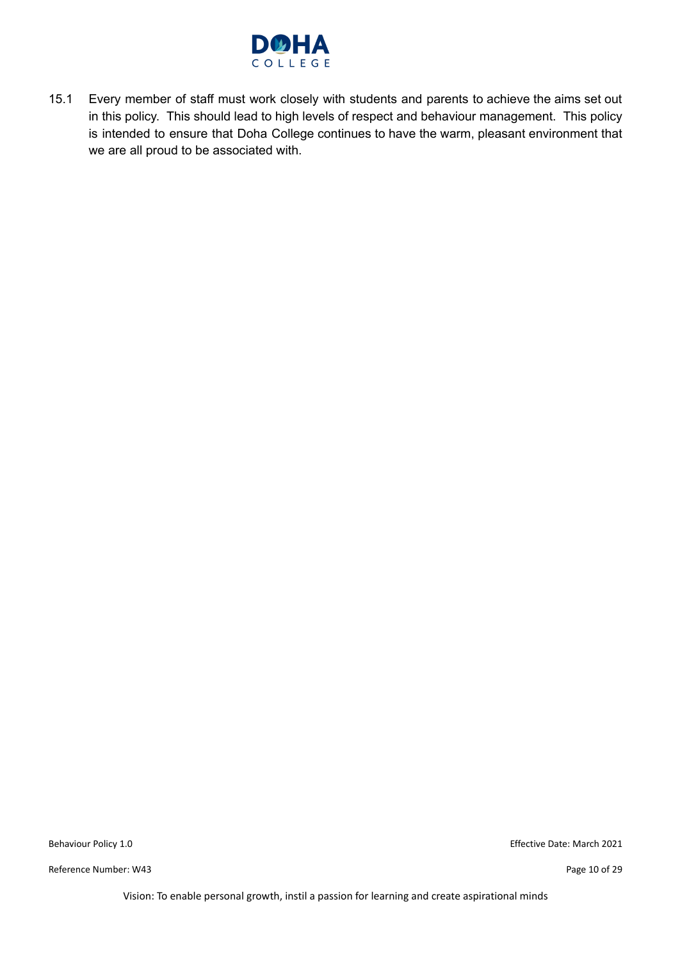

15.1 Every member of staff must work closely with students and parents to achieve the aims set out in this policy. This should lead to high levels of respect and behaviour management. This policy is intended to ensure that Doha College continues to have the warm, pleasant environment that we are all proud to be associated with.

Reference Number: W43 Page 10 of 29

Behaviour Policy 1.0 **Effective Date: March 2021**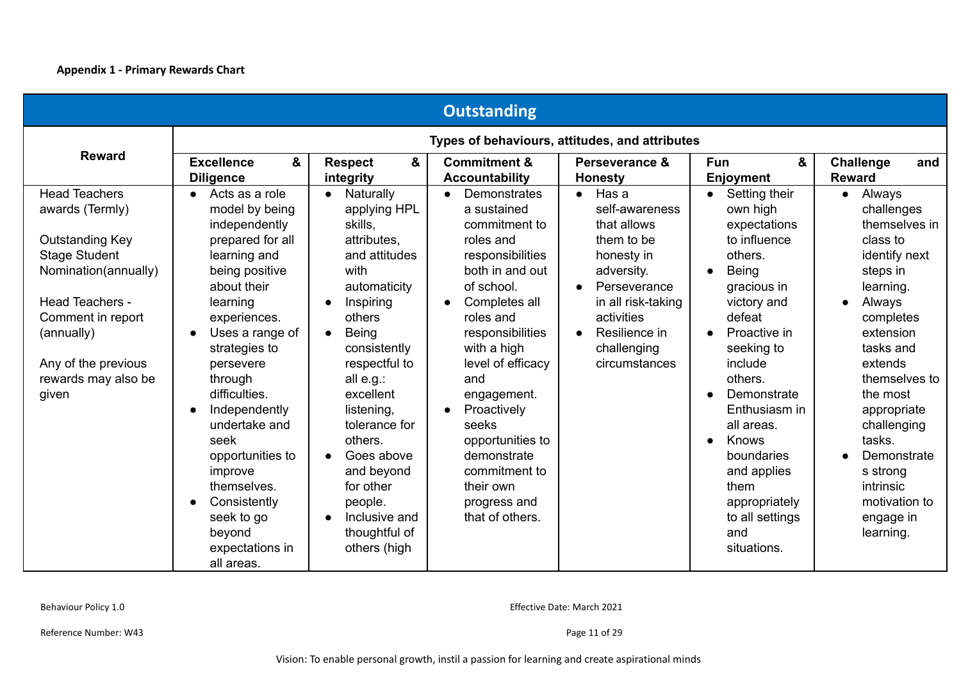<span id="page-10-0"></span>

|                                                                                                                                                                                                                         |                                                                                                                                                                                                                                                                                                                                                                                                                                         |                                                                                                                                                                                                                                                                                                                                                                                                            | <b>Outstanding</b>                                                                                                                                                                                                                                                                                                                                                               |                                                                                                                                                                                                    |                                                                                                                                                                                                                                                                                                                                                                                                  |                                                                                                                                                                                                                                                                                                                                                  |
|-------------------------------------------------------------------------------------------------------------------------------------------------------------------------------------------------------------------------|-----------------------------------------------------------------------------------------------------------------------------------------------------------------------------------------------------------------------------------------------------------------------------------------------------------------------------------------------------------------------------------------------------------------------------------------|------------------------------------------------------------------------------------------------------------------------------------------------------------------------------------------------------------------------------------------------------------------------------------------------------------------------------------------------------------------------------------------------------------|----------------------------------------------------------------------------------------------------------------------------------------------------------------------------------------------------------------------------------------------------------------------------------------------------------------------------------------------------------------------------------|----------------------------------------------------------------------------------------------------------------------------------------------------------------------------------------------------|--------------------------------------------------------------------------------------------------------------------------------------------------------------------------------------------------------------------------------------------------------------------------------------------------------------------------------------------------------------------------------------------------|--------------------------------------------------------------------------------------------------------------------------------------------------------------------------------------------------------------------------------------------------------------------------------------------------------------------------------------------------|
|                                                                                                                                                                                                                         |                                                                                                                                                                                                                                                                                                                                                                                                                                         |                                                                                                                                                                                                                                                                                                                                                                                                            |                                                                                                                                                                                                                                                                                                                                                                                  | Types of behaviours, attitudes, and attributes                                                                                                                                                     |                                                                                                                                                                                                                                                                                                                                                                                                  |                                                                                                                                                                                                                                                                                                                                                  |
| <b>Reward</b>                                                                                                                                                                                                           | <b>Excellence</b><br>&<br><b>Diligence</b>                                                                                                                                                                                                                                                                                                                                                                                              | &<br><b>Respect</b><br>integrity                                                                                                                                                                                                                                                                                                                                                                           | <b>Commitment &amp;</b><br><b>Accountability</b>                                                                                                                                                                                                                                                                                                                                 | Perseverance &<br><b>Honesty</b>                                                                                                                                                                   | <b>Fun</b><br>&<br>Enjoyment                                                                                                                                                                                                                                                                                                                                                                     | <b>Challenge</b><br>and<br><b>Reward</b>                                                                                                                                                                                                                                                                                                         |
| <b>Head Teachers</b><br>awards (Termly)<br>Outstanding Key<br><b>Stage Student</b><br>Nomination(annually)<br>Head Teachers -<br>Comment in report<br>(annually)<br>Any of the previous<br>rewards may also be<br>given | Acts as a role<br>$\bullet$<br>model by being<br>independently<br>prepared for all<br>learning and<br>being positive<br>about their<br>learning<br>experiences.<br>Uses a range of<br>strategies to<br>persevere<br>through<br>difficulties.<br>Independently<br>$\bullet$<br>undertake and<br>seek<br>opportunities to<br>improve<br>themselves.<br>Consistently<br>$\bullet$<br>seek to go<br>beyond<br>expectations in<br>all areas. | Naturally<br>$\bullet$<br>applying HPL<br>skills,<br>attributes.<br>and attitudes<br>with<br>automaticity<br>Inspiring<br>$\bullet$<br>others<br>Being<br>$\bullet$<br>consistently<br>respectful to<br>all $e.g.:$<br>excellent<br>listening,<br>tolerance for<br>others.<br>Goes above<br>$\bullet$<br>and beyond<br>for other<br>people.<br>Inclusive and<br>$\bullet$<br>thoughtful of<br>others (high | Demonstrates<br>a sustained<br>commitment to<br>roles and<br>responsibilities<br>both in and out<br>of school.<br>Completes all<br>$\bullet$<br>roles and<br>responsibilities<br>with a high<br>level of efficacy<br>and<br>engagement.<br>Proactively<br>$\bullet$<br>seeks<br>opportunities to<br>demonstrate<br>commitment to<br>their own<br>progress and<br>that of others. | Has a<br>$\bullet$<br>self-awareness<br>that allows<br>them to be<br>honesty in<br>adversity.<br>Perseverance<br>in all risk-taking<br>activities<br>Resilience in<br>challenging<br>circumstances | Setting their<br>$\bullet$<br>own high<br>expectations<br>to influence<br>others.<br>Being<br>$\bullet$<br>gracious in<br>victory and<br>defeat<br>Proactive in<br>$\bullet$<br>seeking to<br>include<br>others.<br>Demonstrate<br>$\bullet$<br>Enthusiasm in<br>all areas.<br>Knows<br>$\bullet$<br>boundaries<br>and applies<br>them<br>appropriately<br>to all settings<br>and<br>situations. | Always<br>$\bullet$<br>challenges<br>themselves in<br>class to<br>identify next<br>steps in<br>learning.<br>Always<br>$\bullet$<br>completes<br>extension<br>tasks and<br>extends<br>themselves to<br>the most<br>appropriate<br>challenging<br>tasks.<br>Demonstrate<br>s strong<br><i>intrinsic</i><br>motivation to<br>engage in<br>learning. |

Reference Number: W43 Page 11 of 29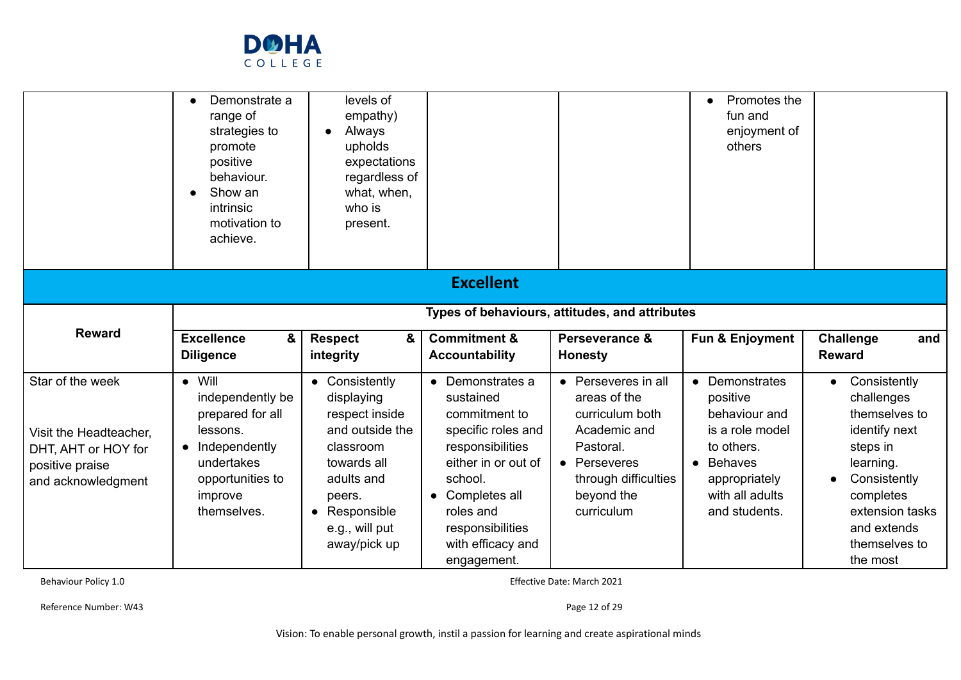

|                                                                                                            | Demonstrate a<br>range of<br>strategies to<br>promote<br>positive<br>behaviour.<br>Show an<br>intrinsic<br>motivation to<br>achieve.              | levels of<br>empathy)<br>Always<br>upholds<br>expectations<br>regardless of<br>what, when,<br>who is<br>present.                                                                               |                                                                                                                                                                                                                    |                                                                                                                                                         | Promotes the<br>fun and<br>enjoyment of<br>others                                                                                              |                                                                                                                                                                                   |
|------------------------------------------------------------------------------------------------------------|---------------------------------------------------------------------------------------------------------------------------------------------------|------------------------------------------------------------------------------------------------------------------------------------------------------------------------------------------------|--------------------------------------------------------------------------------------------------------------------------------------------------------------------------------------------------------------------|---------------------------------------------------------------------------------------------------------------------------------------------------------|------------------------------------------------------------------------------------------------------------------------------------------------|-----------------------------------------------------------------------------------------------------------------------------------------------------------------------------------|
|                                                                                                            |                                                                                                                                                   |                                                                                                                                                                                                | <b>Excellent</b>                                                                                                                                                                                                   |                                                                                                                                                         |                                                                                                                                                |                                                                                                                                                                                   |
|                                                                                                            |                                                                                                                                                   |                                                                                                                                                                                                |                                                                                                                                                                                                                    | Types of behaviours, attitudes, and attributes                                                                                                          |                                                                                                                                                |                                                                                                                                                                                   |
| <b>Reward</b>                                                                                              | <b>Excellence</b><br>&<br><b>Diligence</b>                                                                                                        | &<br><b>Respect</b><br>integrity                                                                                                                                                               | <b>Commitment &amp;</b><br><b>Accountability</b>                                                                                                                                                                   | Perseverance &<br><b>Honesty</b>                                                                                                                        | Fun & Enjoyment                                                                                                                                | Challenge<br>and<br><b>Reward</b>                                                                                                                                                 |
| Star of the week<br>Visit the Headteacher,<br>DHT, AHT or HOY for<br>positive praise<br>and acknowledgment | $\bullet$ Will<br>independently be<br>prepared for all<br>lessons.<br>• Independently<br>undertakes<br>opportunities to<br>improve<br>themselves. | Consistently<br>$\bullet$<br>displaying<br>respect inside<br>and outside the<br>classroom<br>towards all<br>adults and<br>peers.<br>Responsible<br>$\bullet$<br>e.g., will put<br>away/pick up | • Demonstrates a<br>sustained<br>commitment to<br>specific roles and<br>responsibilities<br>either in or out of<br>school.<br>• Completes all<br>roles and<br>responsibilities<br>with efficacy and<br>engagement. | • Perseveres in all<br>areas of the<br>curriculum both<br>Academic and<br>Pastoral.<br>• Perseveres<br>through difficulties<br>beyond the<br>curriculum | • Demonstrates<br>positive<br>behaviour and<br>is a role model<br>to others.<br>• Behaves<br>appropriately<br>with all adults<br>and students. | Consistently<br>challenges<br>themselves to<br>identify next<br>steps in<br>learning.<br>Consistently<br>completes<br>extension tasks<br>and extends<br>themselves to<br>the most |

Reference Number: W43 Page 12 of 29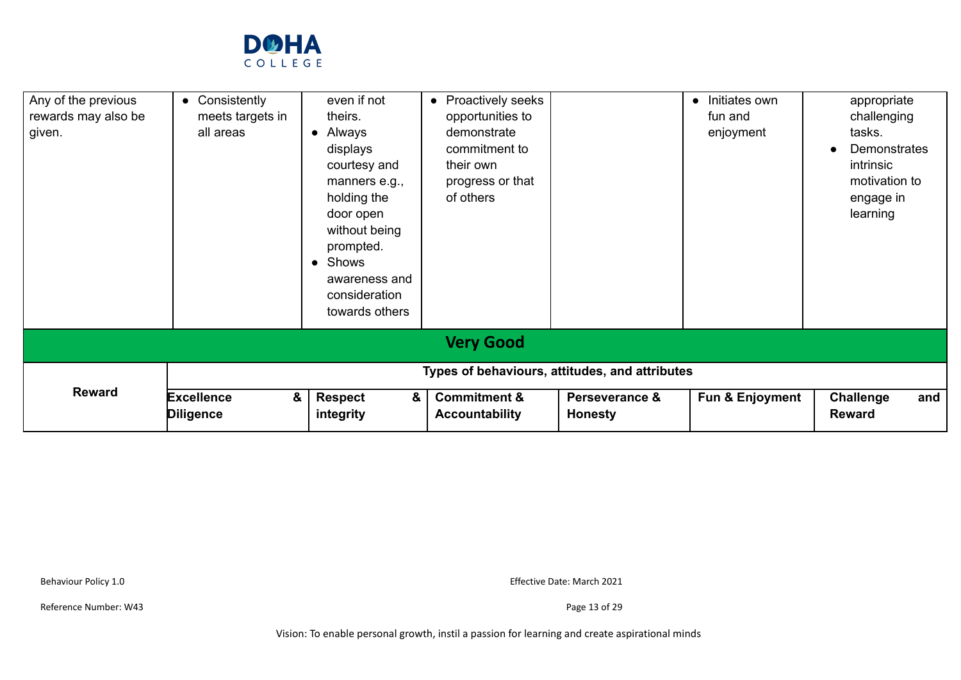

| Any of the previous<br>rewards may also be<br>given. | Consistently<br>$\bullet$<br>meets targets in<br>all areas | even if not<br>theirs.<br>• Always<br>displays<br>courtesy and<br>manners e.g.,<br>holding the<br>door open<br>without being<br>prompted.<br>• Shows<br>awareness and<br>consideration<br>towards others | • Proactively seeks<br>opportunities to<br>demonstrate<br>commitment to<br>their own<br>progress or that<br>of others |                                                | Initiates own<br>$\bullet$<br>fun and<br>enjoyment | appropriate<br>challenging<br>tasks.<br>Demonstrates<br>intrinsic<br>motivation to<br>engage in<br>learning |
|------------------------------------------------------|------------------------------------------------------------|----------------------------------------------------------------------------------------------------------------------------------------------------------------------------------------------------------|-----------------------------------------------------------------------------------------------------------------------|------------------------------------------------|----------------------------------------------------|-------------------------------------------------------------------------------------------------------------|
|                                                      |                                                            |                                                                                                                                                                                                          | <b>Very Good</b>                                                                                                      |                                                |                                                    |                                                                                                             |
|                                                      |                                                            |                                                                                                                                                                                                          |                                                                                                                       | Types of behaviours, attitudes, and attributes |                                                    |                                                                                                             |
| <b>Reward</b>                                        | <b>Excellence</b><br>&<br><b>Diligence</b>                 | <b>Respect</b><br>&<br>integrity                                                                                                                                                                         | <b>Commitment &amp;</b><br><b>Accountability</b>                                                                      | Perseverance &<br><b>Honesty</b>               | Fun & Enjoyment                                    | <b>Challenge</b><br>and<br><b>Reward</b>                                                                    |

Reference Number: W43 Page 13 of 29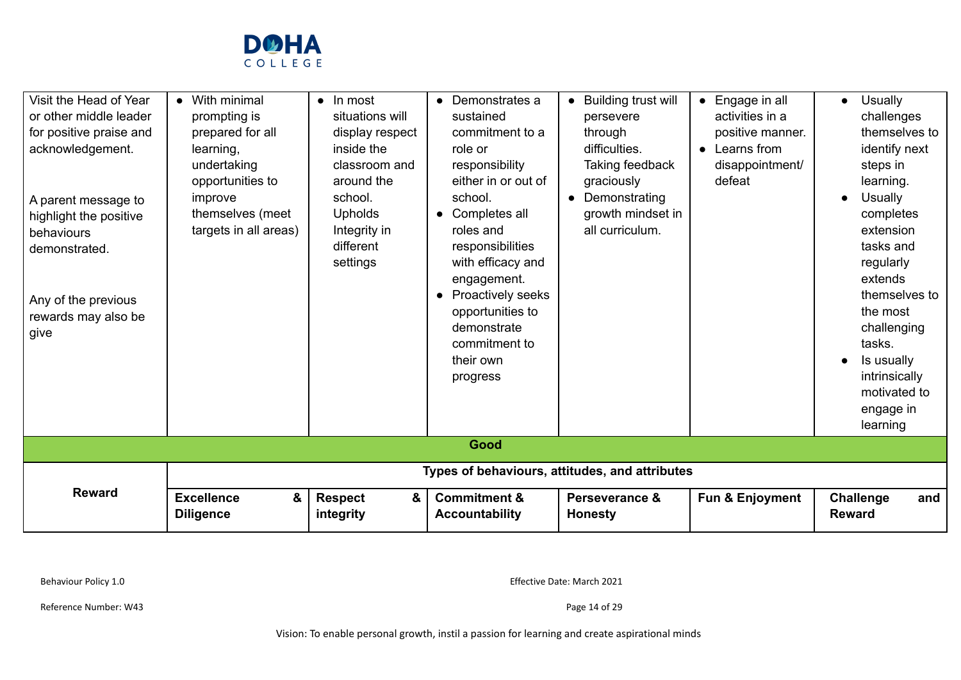

| Visit the Head of Year<br>or other middle leader<br>for positive praise and<br>acknowledgement.<br>A parent message to<br>highlight the positive<br>behaviours<br>demonstrated.<br>Any of the previous<br>rewards may also be<br>give | • With minimal<br>prompting is<br>prepared for all<br>learning,<br>undertaking<br>opportunities to<br>improve<br>themselves (meet<br>targets in all areas) | $\bullet$ In most<br>situations will<br>display respect<br>inside the<br>classroom and<br>around the<br>school.<br><b>Upholds</b><br>Integrity in<br>different<br>settings | Demonstrates a<br>$\bullet$<br>sustained<br>commitment to a<br>role or<br>responsibility<br>either in or out of<br>school.<br>Completes all<br>$\bullet$<br>roles and<br>responsibilities<br>with efficacy and<br>engagement.<br>Proactively seeks<br>$\bullet$<br>opportunities to<br>demonstrate<br>commitment to<br>their own<br>progress | • Building trust will<br>persevere<br>through<br>difficulties.<br>Taking feedback<br>graciously<br>Demonstrating<br>$\bullet$<br>growth mindset in<br>all curriculum. | • Engage in all<br>activities in a<br>positive manner.<br>• Learns from<br>disappointment/<br>defeat | <b>Usually</b><br>$\bullet$<br>challenges<br>themselves to<br>identify next<br>steps in<br>learning.<br><b>Usually</b><br>completes<br>extension<br>tasks and<br>regularly<br>extends<br>themselves to<br>the most<br>challenging<br>tasks.<br>Is usually<br>intrinsically<br>motivated to<br>engage in<br>learning |
|---------------------------------------------------------------------------------------------------------------------------------------------------------------------------------------------------------------------------------------|------------------------------------------------------------------------------------------------------------------------------------------------------------|----------------------------------------------------------------------------------------------------------------------------------------------------------------------------|----------------------------------------------------------------------------------------------------------------------------------------------------------------------------------------------------------------------------------------------------------------------------------------------------------------------------------------------|-----------------------------------------------------------------------------------------------------------------------------------------------------------------------|------------------------------------------------------------------------------------------------------|---------------------------------------------------------------------------------------------------------------------------------------------------------------------------------------------------------------------------------------------------------------------------------------------------------------------|
|                                                                                                                                                                                                                                       |                                                                                                                                                            |                                                                                                                                                                            | Good                                                                                                                                                                                                                                                                                                                                         |                                                                                                                                                                       |                                                                                                      |                                                                                                                                                                                                                                                                                                                     |
|                                                                                                                                                                                                                                       |                                                                                                                                                            |                                                                                                                                                                            |                                                                                                                                                                                                                                                                                                                                              | Types of behaviours, attitudes, and attributes                                                                                                                        |                                                                                                      |                                                                                                                                                                                                                                                                                                                     |
| <b>Reward</b>                                                                                                                                                                                                                         | <b>Excellence</b><br>&<br><b>Diligence</b>                                                                                                                 | &<br><b>Respect</b><br>integrity                                                                                                                                           | <b>Commitment &amp;</b><br><b>Accountability</b>                                                                                                                                                                                                                                                                                             | Perseverance &<br><b>Honesty</b>                                                                                                                                      | <b>Fun &amp; Enjoyment</b>                                                                           | <b>Challenge</b><br>and<br><b>Reward</b>                                                                                                                                                                                                                                                                            |

Reference Number: W43 Page 14 of 29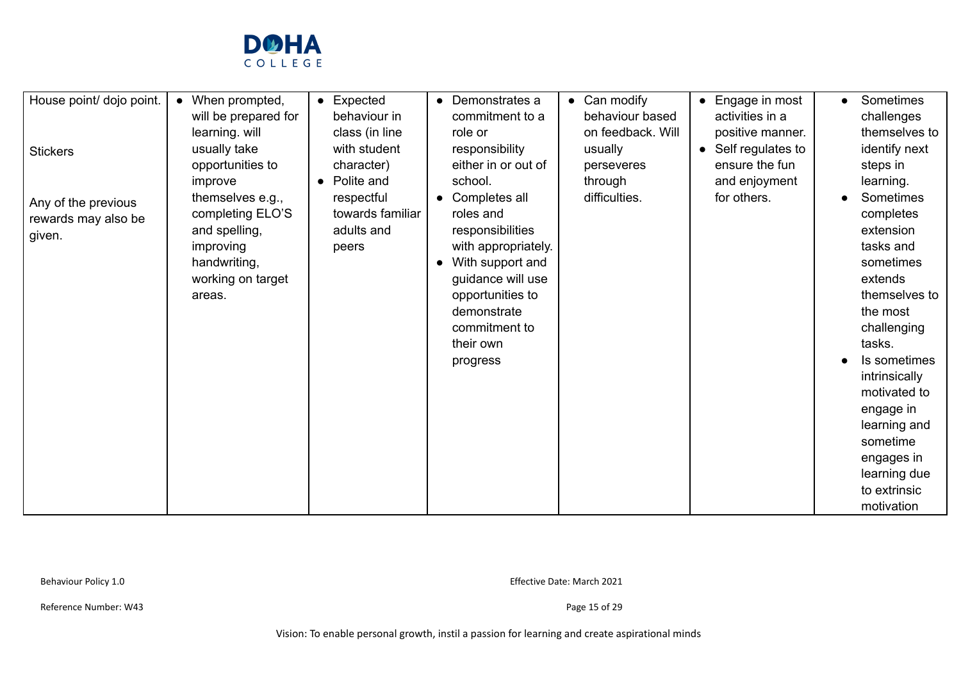

| House point/ dojo point. | • When prompted,     | $\bullet$ Expected | Demonstrates a<br>$\bullet$   | $\bullet$ Can modify | • Engage in most    | Sometimes                                                                                         |
|--------------------------|----------------------|--------------------|-------------------------------|----------------------|---------------------|---------------------------------------------------------------------------------------------------|
|                          | will be prepared for | behaviour in       | commitment to a               | behaviour based      | activities in a     | challenges                                                                                        |
|                          | learning. will       | class (in line     | role or                       | on feedback. Will    | positive manner.    | themselves to                                                                                     |
|                          | usually take         | with student       | responsibility                | usually              | • Self regulates to | identify next                                                                                     |
| <b>Stickers</b>          | opportunities to     | character)         | either in or out of           | perseveres           | ensure the fun      |                                                                                                   |
|                          |                      | • Polite and       |                               |                      |                     | steps in                                                                                          |
|                          | improve              |                    | school.                       | through              | and enjoyment       | learning.                                                                                         |
| Any of the previous      | themselves e.g.,     | respectful         | • Completes all               | difficulties.        | for others.         | Sometimes                                                                                         |
| rewards may also be      | completing ELO'S     | towards familiar   | roles and                     |                      |                     | completes                                                                                         |
| given.                   | and spelling,        | adults and         | responsibilities              |                      |                     | extension                                                                                         |
|                          | improving            | peers              | with appropriately.           |                      |                     | tasks and                                                                                         |
|                          | handwriting,         |                    | With support and<br>$\bullet$ |                      |                     | sometimes                                                                                         |
|                          | working on target    |                    | guidance will use             |                      |                     | extends                                                                                           |
|                          | areas.               |                    | opportunities to              |                      |                     | themselves to                                                                                     |
|                          |                      |                    | demonstrate                   |                      |                     | the most                                                                                          |
|                          |                      |                    | commitment to                 |                      |                     | challenging                                                                                       |
|                          |                      |                    | their own                     |                      |                     | tasks.                                                                                            |
|                          |                      |                    | progress                      |                      |                     | Is sometimes                                                                                      |
|                          |                      |                    |                               |                      |                     | intrinsically                                                                                     |
|                          |                      |                    |                               |                      |                     | motivated to                                                                                      |
|                          |                      |                    |                               |                      |                     |                                                                                                   |
|                          |                      |                    |                               |                      |                     |                                                                                                   |
|                          |                      |                    |                               |                      |                     |                                                                                                   |
|                          |                      |                    |                               |                      |                     |                                                                                                   |
|                          |                      |                    |                               |                      |                     |                                                                                                   |
|                          |                      |                    |                               |                      |                     |                                                                                                   |
|                          |                      |                    |                               |                      |                     |                                                                                                   |
|                          |                      |                    |                               |                      |                     | engage in<br>learning and<br>sometime<br>engages in<br>learning due<br>to extrinsic<br>motivation |

Reference Number: W43 Page 15 of 29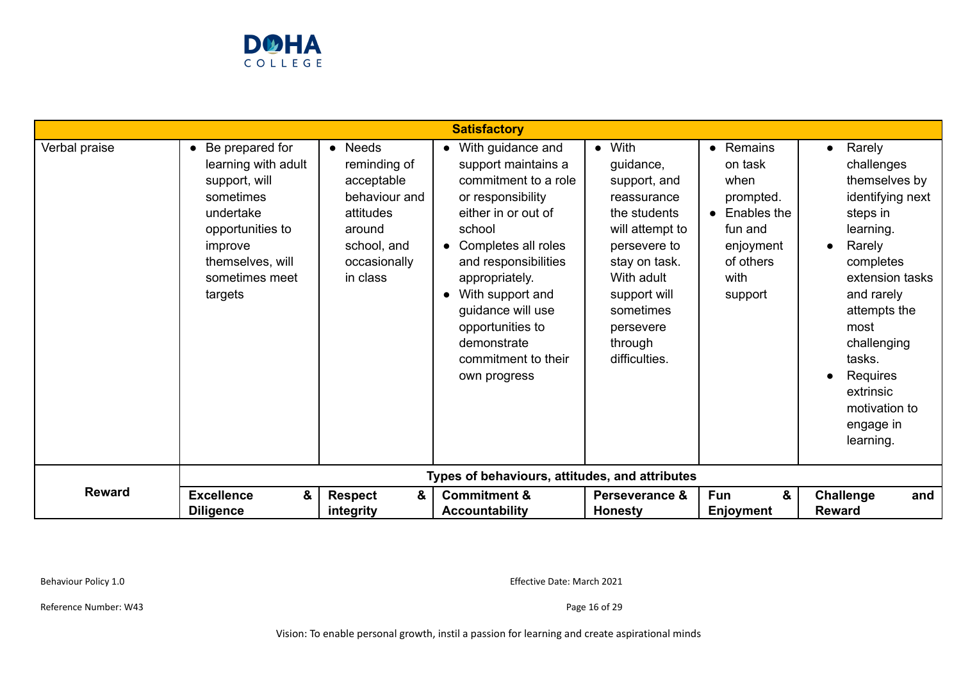

|               |                                                                                                                                                                                |                                                                                                                          | <b>Satisfactory</b>                                                                                                                                                                                                                                                                                                     |                                                                                                                                                                                                                    |                                                                                                                                          |                                                                                                                                                                                                                                                                                           |
|---------------|--------------------------------------------------------------------------------------------------------------------------------------------------------------------------------|--------------------------------------------------------------------------------------------------------------------------|-------------------------------------------------------------------------------------------------------------------------------------------------------------------------------------------------------------------------------------------------------------------------------------------------------------------------|--------------------------------------------------------------------------------------------------------------------------------------------------------------------------------------------------------------------|------------------------------------------------------------------------------------------------------------------------------------------|-------------------------------------------------------------------------------------------------------------------------------------------------------------------------------------------------------------------------------------------------------------------------------------------|
| Verbal praise | Be prepared for<br>$\bullet$<br>learning with adult<br>support, will<br>sometimes<br>undertake<br>opportunities to<br>improve<br>themselves, will<br>sometimes meet<br>targets | • Needs<br>reminding of<br>acceptable<br>behaviour and<br>attitudes<br>around<br>school, and<br>occasionally<br>in class | With guidance and<br>support maintains a<br>commitment to a role<br>or responsibility<br>either in or out of<br>school<br>Completes all roles<br>$\bullet$<br>and responsibilities<br>appropriately.<br>With support and<br>guidance will use<br>opportunities to<br>demonstrate<br>commitment to their<br>own progress | $\bullet$ With<br>guidance,<br>support, and<br>reassurance<br>the students<br>will attempt to<br>persevere to<br>stay on task.<br>With adult<br>support will<br>sometimes<br>persevere<br>through<br>difficulties. | Remains<br>$\bullet$<br>on task<br>when<br>prompted.<br>Enables the<br>$\bullet$<br>fun and<br>enjoyment<br>of others<br>with<br>support | Rarely<br>$\bullet$<br>challenges<br>themselves by<br>identifying next<br>steps in<br>learning.<br>Rarely<br>$\bullet$<br>completes<br>extension tasks<br>and rarely<br>attempts the<br>most<br>challenging<br>tasks.<br>Requires<br>extrinsic<br>motivation to<br>engage in<br>learning. |
|               |                                                                                                                                                                                |                                                                                                                          | Types of behaviours, attitudes, and attributes                                                                                                                                                                                                                                                                          |                                                                                                                                                                                                                    |                                                                                                                                          |                                                                                                                                                                                                                                                                                           |
| <b>Reward</b> | &<br><b>Excellence</b><br><b>Diligence</b>                                                                                                                                     | &<br><b>Respect</b><br>integrity                                                                                         | <b>Commitment &amp;</b><br><b>Accountability</b>                                                                                                                                                                                                                                                                        | Perseverance &<br><b>Honesty</b>                                                                                                                                                                                   | &<br><b>Fun</b><br><b>Enjoyment</b>                                                                                                      | Challenge<br>and<br><b>Reward</b>                                                                                                                                                                                                                                                         |

Reference Number: W43 Page 16 of 29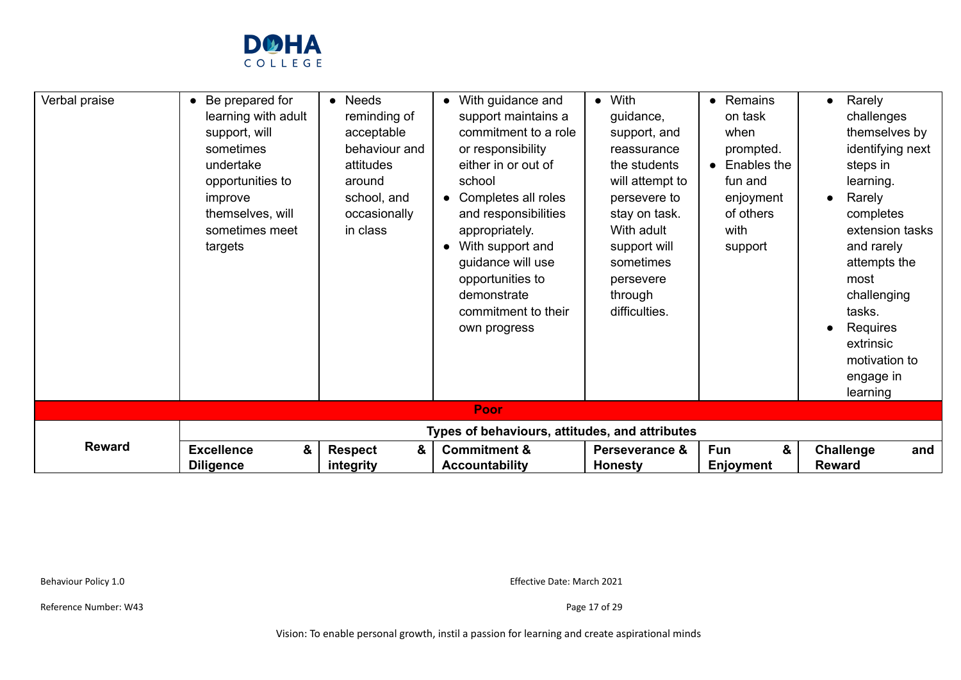

| Verbal praise | Be prepared for<br>$\bullet$<br>learning with adult<br>support, will<br>sometimes<br>undertake<br>opportunities to<br>improve<br>themselves, will<br>sometimes meet<br>targets | • Needs<br>reminding of<br>acceptable<br>behaviour and<br>attitudes<br>around<br>school, and<br>occasionally<br>in class | • With guidance and<br>support maintains a<br>commitment to a role<br>or responsibility<br>either in or out of<br>school<br>• Completes all roles<br>and responsibilities<br>appropriately.<br>• With support and<br>guidance will use<br>opportunities to<br>demonstrate<br>commitment to their<br>own progress | $\bullet$ With<br>guidance,<br>support, and<br>reassurance<br>the students<br>will attempt to<br>persevere to<br>stay on task.<br>With adult<br>support will<br>sometimes<br>persevere<br>through<br>difficulties. | • Remains<br>on task<br>when<br>prompted.<br>$\bullet$ Enables the<br>fun and<br>enjoyment<br>of others<br>with<br>support | Rarely<br>$\bullet$<br>challenges<br>themselves by<br>identifying next<br>steps in<br>learning.<br>Rarely<br>completes<br>extension tasks<br>and rarely<br>attempts the<br>most<br>challenging<br>tasks.<br>Requires<br>extrinsic<br>motivation to<br>engage in<br>learning |
|---------------|--------------------------------------------------------------------------------------------------------------------------------------------------------------------------------|--------------------------------------------------------------------------------------------------------------------------|------------------------------------------------------------------------------------------------------------------------------------------------------------------------------------------------------------------------------------------------------------------------------------------------------------------|--------------------------------------------------------------------------------------------------------------------------------------------------------------------------------------------------------------------|----------------------------------------------------------------------------------------------------------------------------|-----------------------------------------------------------------------------------------------------------------------------------------------------------------------------------------------------------------------------------------------------------------------------|
|               |                                                                                                                                                                                |                                                                                                                          | Poor                                                                                                                                                                                                                                                                                                             |                                                                                                                                                                                                                    |                                                                                                                            |                                                                                                                                                                                                                                                                             |
|               |                                                                                                                                                                                |                                                                                                                          | Types of behaviours, attitudes, and attributes                                                                                                                                                                                                                                                                   |                                                                                                                                                                                                                    |                                                                                                                            |                                                                                                                                                                                                                                                                             |
| <b>Reward</b> | <b>Excellence</b><br>&<br><b>Diligence</b>                                                                                                                                     | &<br><b>Respect</b><br>integrity                                                                                         | <b>Commitment &amp;</b><br><b>Accountability</b>                                                                                                                                                                                                                                                                 | <b>Perseverance &amp;</b><br><b>Honesty</b>                                                                                                                                                                        | &<br><b>Fun</b><br>Enjoyment                                                                                               | and<br><b>Challenge</b><br><b>Reward</b>                                                                                                                                                                                                                                    |

Reference Number: W43 Page 17 of 29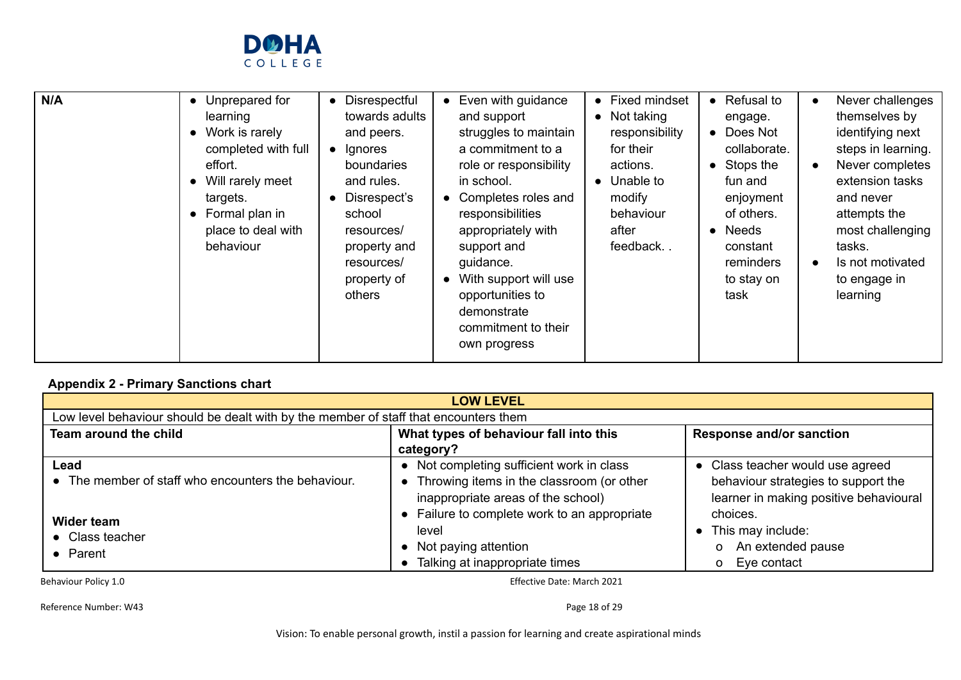

| N/A<br>• Unprepared for<br>learning<br>$\bullet$ Work is rarely<br>completed with full<br>effort.<br>• Will rarely meet<br>targets.<br>$\bullet$ Formal plan in<br>place to deal with<br>behaviour | • Even with guidance<br>Disrespectful<br>$\bullet$<br>towards adults<br>and support<br>struggles to maintain<br>and peers.<br>a commitment to a<br>Ignores<br>$\bullet$<br>boundaries<br>role or responsibility<br>in school.<br>and rules.<br>Disrespect's<br>• Completes roles and<br>$\bullet$<br>responsibilities<br>school<br>appropriately with<br>resources/<br>property and<br>support and<br>guidance.<br>resources/<br>• With support will use<br>property of<br>others<br>opportunities to<br>demonstrate<br>commitment to their<br>own progress | • Fixed mindset<br>Refusal to<br>$\bullet$ Not taking<br>engage.<br>• Does Not<br>responsibility<br>for their<br>collaborate.<br>$\bullet$ Stops the<br>actions.<br>• Unable to<br>fun and<br>modify<br>enjoyment<br>of others.<br>behaviour<br>• Needs<br>after<br>feedback<br>constant<br>reminders<br>to stay on<br>task | Never challenges<br>$\bullet$<br>themselves by<br>identifying next<br>steps in learning.<br>Never completes<br>$\bullet$<br>extension tasks<br>and never<br>attempts the<br>most challenging<br>tasks.<br>Is not motivated<br>$\bullet$<br>to engage in<br>learning |
|----------------------------------------------------------------------------------------------------------------------------------------------------------------------------------------------------|-------------------------------------------------------------------------------------------------------------------------------------------------------------------------------------------------------------------------------------------------------------------------------------------------------------------------------------------------------------------------------------------------------------------------------------------------------------------------------------------------------------------------------------------------------------|-----------------------------------------------------------------------------------------------------------------------------------------------------------------------------------------------------------------------------------------------------------------------------------------------------------------------------|---------------------------------------------------------------------------------------------------------------------------------------------------------------------------------------------------------------------------------------------------------------------|
|----------------------------------------------------------------------------------------------------------------------------------------------------------------------------------------------------|-------------------------------------------------------------------------------------------------------------------------------------------------------------------------------------------------------------------------------------------------------------------------------------------------------------------------------------------------------------------------------------------------------------------------------------------------------------------------------------------------------------------------------------------------------------|-----------------------------------------------------------------------------------------------------------------------------------------------------------------------------------------------------------------------------------------------------------------------------------------------------------------------------|---------------------------------------------------------------------------------------------------------------------------------------------------------------------------------------------------------------------------------------------------------------------|

## **Appendix 2 - Primary Sanctions chart**

|                                                                                      | <b>LOW LEVEL</b>                                                                                                             |                                                                                                                              |
|--------------------------------------------------------------------------------------|------------------------------------------------------------------------------------------------------------------------------|------------------------------------------------------------------------------------------------------------------------------|
| Low level behaviour should be dealt with by the member of staff that encounters them |                                                                                                                              |                                                                                                                              |
| Team around the child                                                                | What types of behaviour fall into this<br>category?                                                                          | <b>Response and/or sanction</b>                                                                                              |
| Lead<br>• The member of staff who encounters the behaviour.                          | • Not completing sufficient work in class<br>Throwing items in the classroom (or other<br>inappropriate areas of the school) | Class teacher would use agreed<br>$\bullet$<br>behaviour strategies to support the<br>learner in making positive behavioural |
| Wider team<br>• Class teacher<br>$\bullet$ Parent                                    | • Failure to complete work to an appropriate<br>level<br>Not paying attention<br>Talking at inappropriate times              | choices.<br>This may include:<br>An extended pause<br>$\overline{O}$<br>Eye contact<br>$\Omega$                              |
| Behaviour Policy 1.0                                                                 | Effective Date: March 2021                                                                                                   |                                                                                                                              |

<span id="page-17-0"></span>Reference Number: W43 Page 18 of 29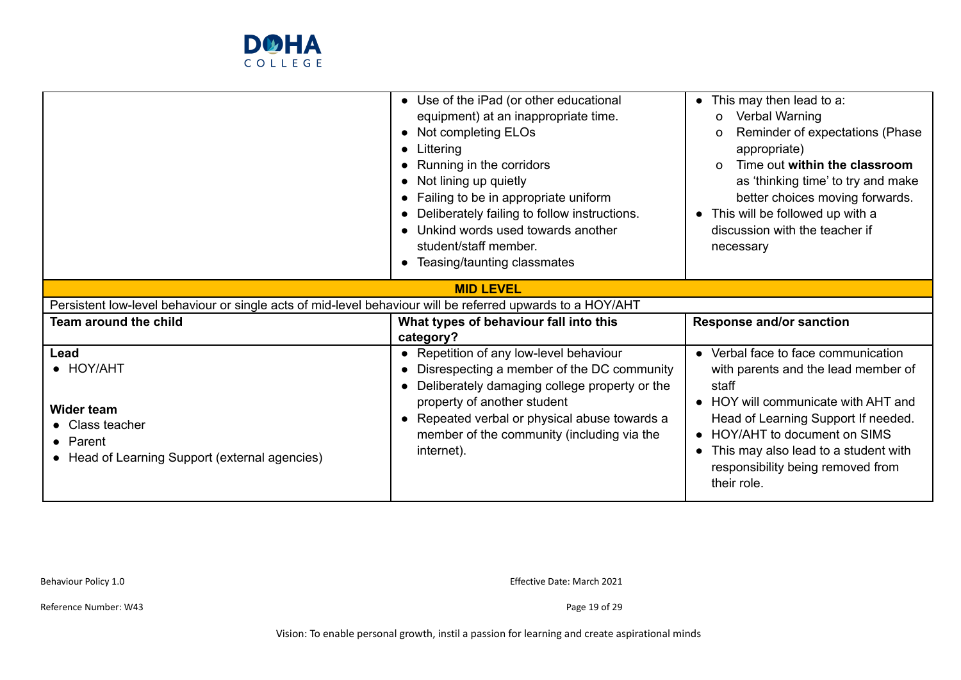

|                                                                                                                                 | • Use of the iPad (or other educational<br>equipment) at an inappropriate time.<br>• Not completing ELOs<br>$\bullet$ Littering<br>Running in the corridors<br>Not lining up quietly<br>$\bullet$<br>Failing to be in appropriate uniform<br>Deliberately failing to follow instructions.<br>$\bullet$<br>Unkind words used towards another<br>$\bullet$<br>student/staff member. | This may then lead to a:<br>$\bullet$<br>Verbal Warning<br>$\circ$<br>Reminder of expectations (Phase<br>O<br>appropriate)<br>Time out within the classroom<br>$\Omega$<br>as 'thinking time' to try and make<br>better choices moving forwards.<br>• This will be followed up with a<br>discussion with the teacher if<br>necessary |
|---------------------------------------------------------------------------------------------------------------------------------|-----------------------------------------------------------------------------------------------------------------------------------------------------------------------------------------------------------------------------------------------------------------------------------------------------------------------------------------------------------------------------------|--------------------------------------------------------------------------------------------------------------------------------------------------------------------------------------------------------------------------------------------------------------------------------------------------------------------------------------|
|                                                                                                                                 | Teasing/taunting classmates<br>$\bullet$                                                                                                                                                                                                                                                                                                                                          |                                                                                                                                                                                                                                                                                                                                      |
|                                                                                                                                 | <b>MID LEVEL</b>                                                                                                                                                                                                                                                                                                                                                                  |                                                                                                                                                                                                                                                                                                                                      |
| Persistent low-level behaviour or single acts of mid-level behaviour will be referred upwards to a HOY/AHT                      |                                                                                                                                                                                                                                                                                                                                                                                   |                                                                                                                                                                                                                                                                                                                                      |
| Team around the child                                                                                                           | What types of behaviour fall into this<br>category?                                                                                                                                                                                                                                                                                                                               | <b>Response and/or sanction</b>                                                                                                                                                                                                                                                                                                      |
| Lead<br>• HOY/AHT<br><b>Wider team</b><br>• Class teacher<br>$\bullet$ Parent<br>• Head of Learning Support (external agencies) | • Repetition of any low-level behaviour<br>Disrespecting a member of the DC community<br>Deliberately damaging college property or the<br>property of another student<br>• Repeated verbal or physical abuse towards a<br>member of the community (including via the<br>internet).                                                                                                | • Verbal face to face communication<br>with parents and the lead member of<br>staff<br>• HOY will communicate with AHT and<br>Head of Learning Support If needed.<br>HOY/AHT to document on SIMS<br>$\bullet$<br>This may also lead to a student with<br>$\bullet$<br>responsibility being removed from<br>their role.               |

| Behaviour Policy 1.0 |  |  |  |
|----------------------|--|--|--|
|----------------------|--|--|--|

Effective Date: March 2021

Reference Number: W43 Page 19 of 29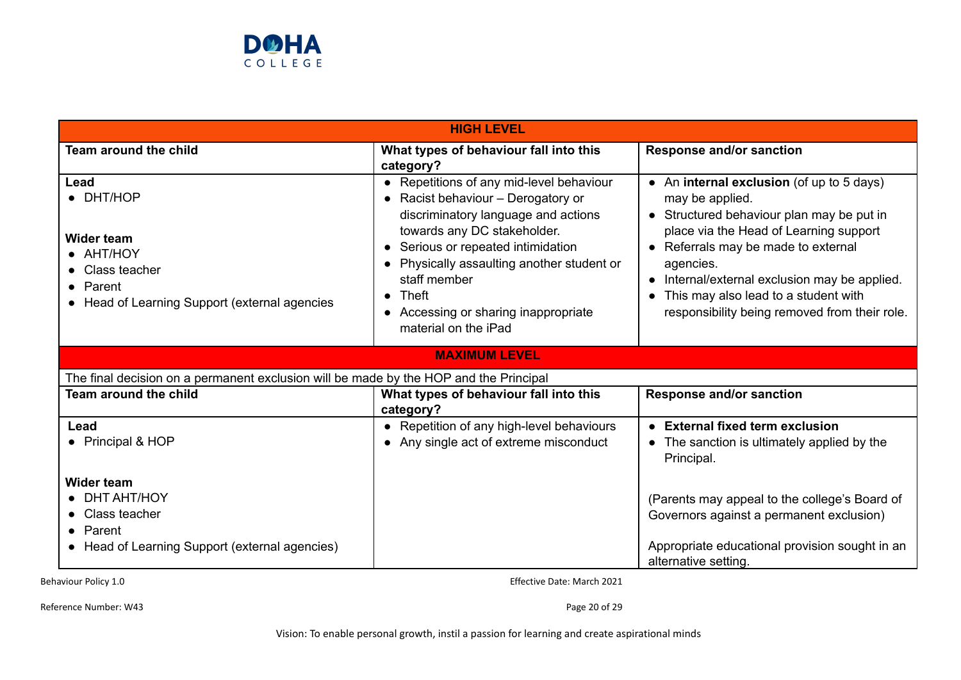

| <b>HIGH LEVEL</b>                                                                                                                           |                                                                                                                                                                                                                                                                                                                                                               |                                                                                                                                                                                                                                                                                                                                                              |  |  |
|---------------------------------------------------------------------------------------------------------------------------------------------|---------------------------------------------------------------------------------------------------------------------------------------------------------------------------------------------------------------------------------------------------------------------------------------------------------------------------------------------------------------|--------------------------------------------------------------------------------------------------------------------------------------------------------------------------------------------------------------------------------------------------------------------------------------------------------------------------------------------------------------|--|--|
| <b>Team around the child</b>                                                                                                                | What types of behaviour fall into this<br>category?                                                                                                                                                                                                                                                                                                           | <b>Response and/or sanction</b>                                                                                                                                                                                                                                                                                                                              |  |  |
| Lead<br>• DHT/HOP<br><b>Wider team</b><br>• AHT/HOY<br>• Class teacher<br>$\bullet$ Parent<br>• Head of Learning Support (external agencies | • Repetitions of any mid-level behaviour<br>Racist behaviour - Derogatory or<br>discriminatory language and actions<br>towards any DC stakeholder.<br>Serious or repeated intimidation<br>$\bullet$<br>Physically assaulting another student or<br>staff member<br>$\bullet$ Theft<br>Accessing or sharing inappropriate<br>$\bullet$<br>material on the iPad | • An internal exclusion (of up to 5 days)<br>may be applied.<br>• Structured behaviour plan may be put in<br>place via the Head of Learning support<br>• Referrals may be made to external<br>agencies.<br>Internal/external exclusion may be applied.<br>This may also lead to a student with<br>$\bullet$<br>responsibility being removed from their role. |  |  |
|                                                                                                                                             | <b>MAXIMUM LEVEL</b>                                                                                                                                                                                                                                                                                                                                          |                                                                                                                                                                                                                                                                                                                                                              |  |  |
| The final decision on a permanent exclusion will be made by the HOP and the Principal                                                       |                                                                                                                                                                                                                                                                                                                                                               |                                                                                                                                                                                                                                                                                                                                                              |  |  |
| <b>Team around the child</b>                                                                                                                | What types of behaviour fall into this<br>category?                                                                                                                                                                                                                                                                                                           | <b>Response and/or sanction</b>                                                                                                                                                                                                                                                                                                                              |  |  |
| Lead<br>• Principal & HOP                                                                                                                   | • Repetition of any high-level behaviours<br>• Any single act of extreme misconduct                                                                                                                                                                                                                                                                           | • External fixed term exclusion<br>• The sanction is ultimately applied by the<br>Principal.                                                                                                                                                                                                                                                                 |  |  |
| <b>Wider team</b><br>• DHT AHT/HOY<br>• Class teacher<br>• Parent<br>• Head of Learning Support (external agencies)                         |                                                                                                                                                                                                                                                                                                                                                               | (Parents may appeal to the college's Board of<br>Governors against a permanent exclusion)<br>Appropriate educational provision sought in an<br>alternative setting.                                                                                                                                                                                          |  |  |

Reference Number: W43 Page 20 of 29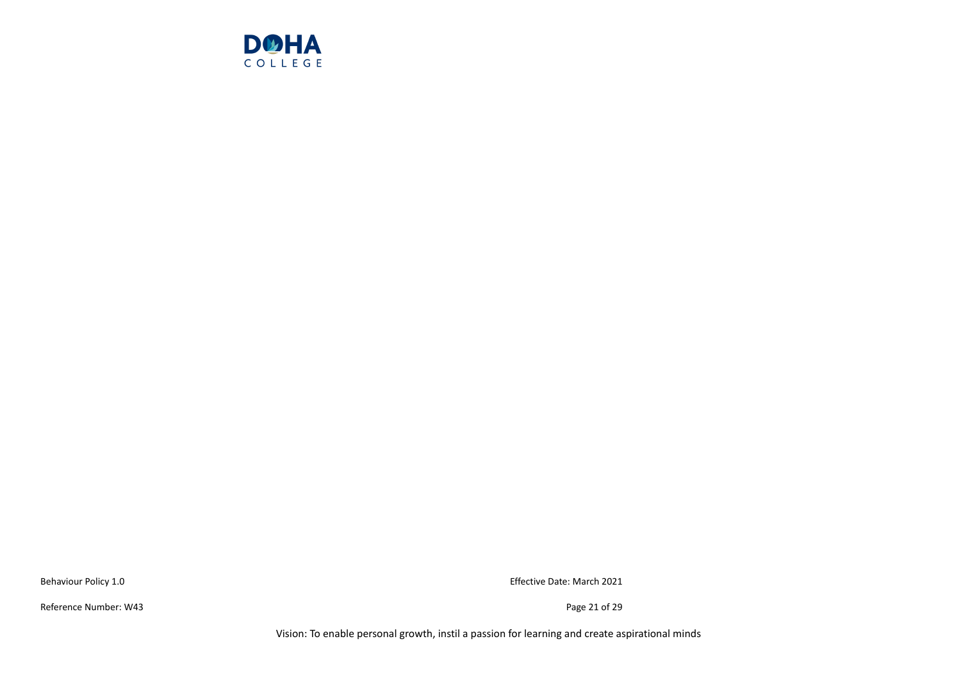

Reference Number: W43 Page 21 of 29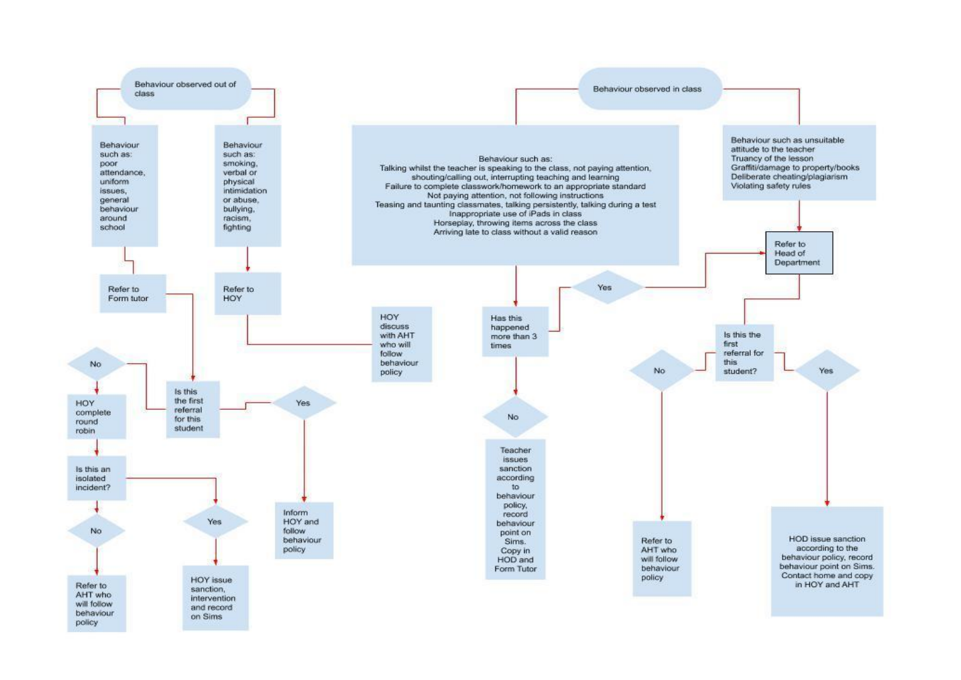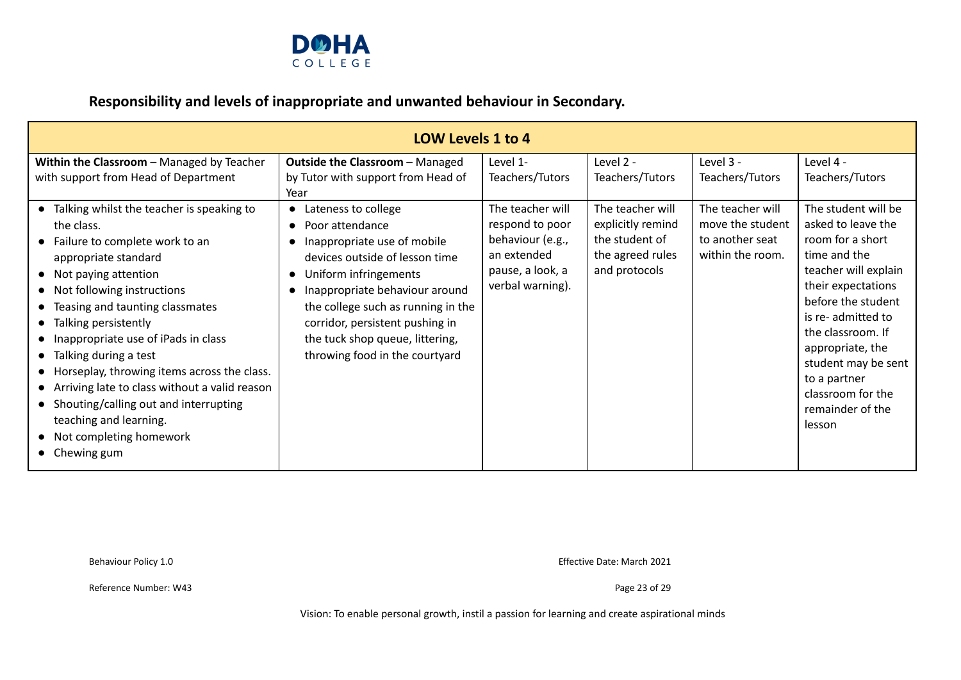

# **Responsibility and levels of inappropriate and unwanted behaviour in Secondary.**

| LOW Levels 1 to 4                                                                                                                                                                                                                                                                                                                                                                                                |                                                                                                                                                                                                                |                                                                                                       |                                                                                                             |                                                                                                             |                                                                                                                                                                                                                          |
|------------------------------------------------------------------------------------------------------------------------------------------------------------------------------------------------------------------------------------------------------------------------------------------------------------------------------------------------------------------------------------------------------------------|----------------------------------------------------------------------------------------------------------------------------------------------------------------------------------------------------------------|-------------------------------------------------------------------------------------------------------|-------------------------------------------------------------------------------------------------------------|-------------------------------------------------------------------------------------------------------------|--------------------------------------------------------------------------------------------------------------------------------------------------------------------------------------------------------------------------|
| Within the Classroom - Managed by Teacher<br>with support from Head of Department<br>• Talking whilst the teacher is speaking to<br>the class.<br>• Failure to complete work to an<br>appropriate standard                                                                                                                                                                                                       | <b>Outside the Classroom - Managed</b><br>by Tutor with support from Head of<br>Year<br>• Lateness to college<br>Poor attendance<br>$\bullet$<br>Inappropriate use of mobile<br>devices outside of lesson time | Level 1-<br>Teachers/Tutors<br>The teacher will<br>respond to poor<br>behaviour (e.g.,<br>an extended | Level 2 -<br>Teachers/Tutors<br>The teacher will<br>explicitly remind<br>the student of<br>the agreed rules | Level 3 -<br>Teachers/Tutors<br>The teacher will<br>move the student<br>to another seat<br>within the room. | Level 4 -<br>Teachers/Tutors<br>The student will be<br>asked to leave the<br>room for a short<br>time and the                                                                                                            |
| • Not paying attention<br>• Not following instructions<br>• Teasing and taunting classmates<br>• Talking persistently<br>• Inappropriate use of iPads in class<br>• Talking during a test<br>• Horseplay, throwing items across the class.<br>• Arriving late to class without a valid reason<br>• Shouting/calling out and interrupting<br>teaching and learning.<br>• Not completing homework<br>• Chewing gum | • Uniform infringements<br>Inappropriate behaviour around<br>the college such as running in the<br>corridor, persistent pushing in<br>the tuck shop queue, littering,<br>throwing food in the courtyard        | pause, a look, a<br>verbal warning).                                                                  | and protocols                                                                                               |                                                                                                             | teacher will explain<br>their expectations<br>before the student<br>is re-admitted to<br>the classroom. If<br>appropriate, the<br>student may be sent<br>to a partner<br>classroom for the<br>remainder of the<br>lesson |

Reference Number: W43 Page 23 of 29

Behaviour Policy 1.0 **Effective Date: March 2021**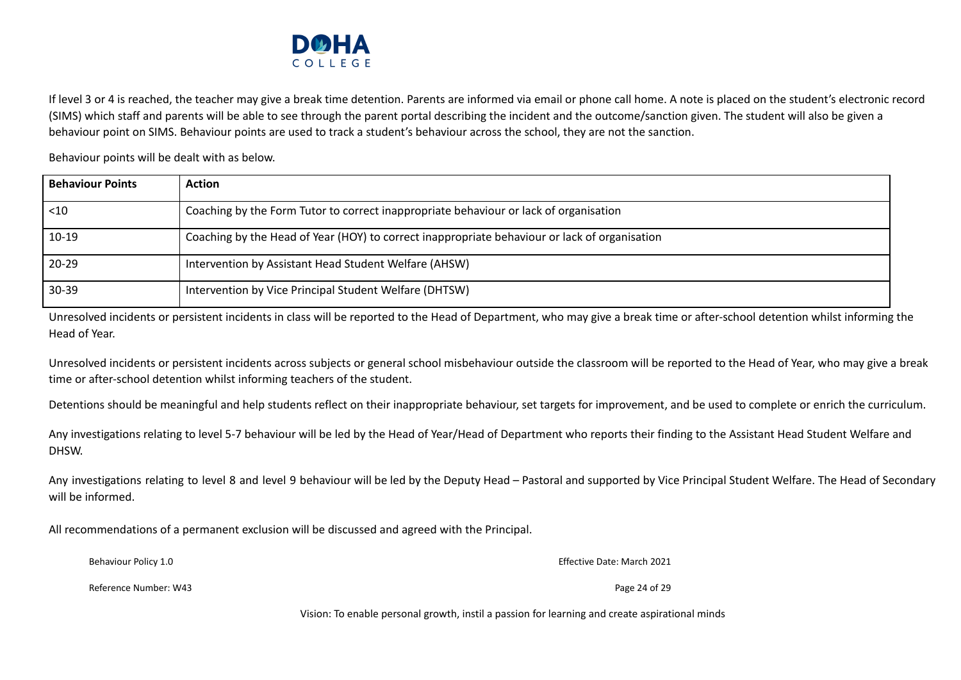

If level 3 or 4 is reached, the teacher may give a break time detention. Parents are informed via email or phone call home. A note is placed on the student's electronic record (SIMS) which staff and parents will be able to see through the parent portal describing the incident and the outcome/sanction given. The student will also be given a behaviour point on SIMS. Behaviour points are used to track a student's behaviour across the school, they are not the sanction.

Behaviour points will be dealt with as below.

| <b>Behaviour Points</b> | <b>Action</b>                                                                                 |
|-------------------------|-----------------------------------------------------------------------------------------------|
| $<$ 10                  | Coaching by the Form Tutor to correct inappropriate behaviour or lack of organisation         |
| $10-19$                 | Coaching by the Head of Year (HOY) to correct inappropriate behaviour or lack of organisation |
| $20 - 29$               | Intervention by Assistant Head Student Welfare (AHSW)                                         |
| $30 - 39$               | Intervention by Vice Principal Student Welfare (DHTSW)                                        |

Unresolved incidents or persistent incidents in class will be reported to the Head of Department, who may give a break time or after‐school detention whilst informing the Head of Year.

Unresolved incidents or persistent incidents across subjects or general school misbehaviour outside the classroom will be reported to the Head of Year, who may give a break time or after‐school detention whilst informing teachers of the student.

Detentions should be meaningful and help students reflect on their inappropriate behaviour, set targets for improvement, and be used to complete or enrich the curriculum.

Any investigations relating to level 5-7 behaviour will be led by the Head of Year/Head of Department who reports their finding to the Assistant Head Student Welfare and DHSW.

Any investigations relating to level 8 and level 9 behaviour will be led by the Deputy Head – Pastoral and supported by Vice Principal Student Welfare. The Head of Secondary will be informed.

All recommendations of a permanent exclusion will be discussed and agreed with the Principal.

Behaviour Policy 1.0 Effective Date: March 2021

Reference Number: W43 Page 24 of 29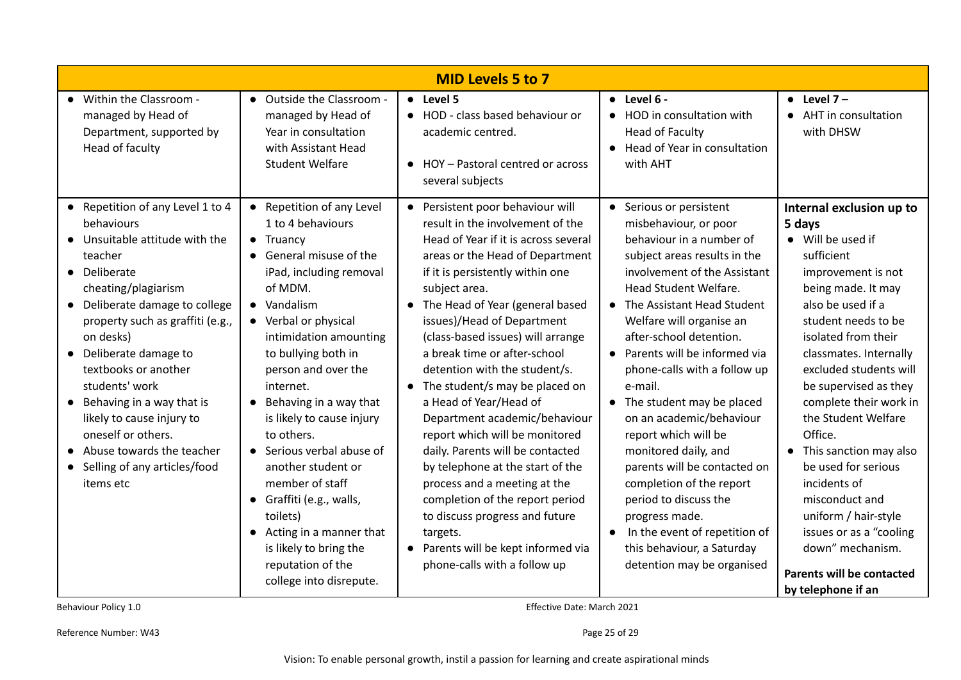| <b>MID Levels 5 to 7</b>                                                                                                                                                                                                                                                                                                                                                                                                                                                                 |                                                                                                                                                                                                                                                                                                                                                                                                                                                                                                                                                                  |                                                                                                                                                                                                                                                                                                                                                                                                                                                                                                                                                                                                                                                                                                                                                                                |                                                                                                                                                                                                                                                                                                                                                                                                                                                                                                                                                                                                                                                          |                                                                                                                                                                                                                                                                                                                                                                                                                                                                                                                                                   |
|------------------------------------------------------------------------------------------------------------------------------------------------------------------------------------------------------------------------------------------------------------------------------------------------------------------------------------------------------------------------------------------------------------------------------------------------------------------------------------------|------------------------------------------------------------------------------------------------------------------------------------------------------------------------------------------------------------------------------------------------------------------------------------------------------------------------------------------------------------------------------------------------------------------------------------------------------------------------------------------------------------------------------------------------------------------|--------------------------------------------------------------------------------------------------------------------------------------------------------------------------------------------------------------------------------------------------------------------------------------------------------------------------------------------------------------------------------------------------------------------------------------------------------------------------------------------------------------------------------------------------------------------------------------------------------------------------------------------------------------------------------------------------------------------------------------------------------------------------------|----------------------------------------------------------------------------------------------------------------------------------------------------------------------------------------------------------------------------------------------------------------------------------------------------------------------------------------------------------------------------------------------------------------------------------------------------------------------------------------------------------------------------------------------------------------------------------------------------------------------------------------------------------|---------------------------------------------------------------------------------------------------------------------------------------------------------------------------------------------------------------------------------------------------------------------------------------------------------------------------------------------------------------------------------------------------------------------------------------------------------------------------------------------------------------------------------------------------|
| • Within the Classroom -<br>managed by Head of<br>Department, supported by<br>Head of faculty                                                                                                                                                                                                                                                                                                                                                                                            | • Outside the Classroom -<br>managed by Head of<br>Year in consultation<br>with Assistant Head<br><b>Student Welfare</b>                                                                                                                                                                                                                                                                                                                                                                                                                                         | • Level 5<br>• HOD - class based behaviour or<br>academic centred.<br>HOY - Pastoral centred or across<br>$\bullet$<br>several subjects                                                                                                                                                                                                                                                                                                                                                                                                                                                                                                                                                                                                                                        | $\bullet$ Level 6 -<br>HOD in consultation with<br>Head of Faculty<br>• Head of Year in consultation<br>with AHT                                                                                                                                                                                                                                                                                                                                                                                                                                                                                                                                         | $\bullet$ Level 7 -<br>• AHT in consultation<br>with DHSW                                                                                                                                                                                                                                                                                                                                                                                                                                                                                         |
| • Repetition of any Level 1 to 4<br>behaviours<br>• Unsuitable attitude with the<br>teacher<br>Deliberate<br>$\bullet$<br>cheating/plagiarism<br>Deliberate damage to college<br>$\bullet$<br>property such as graffiti (e.g.,<br>on desks)<br>• Deliberate damage to<br>textbooks or another<br>students' work<br>Behaving in a way that is<br>$\bullet$<br>likely to cause injury to<br>oneself or others.<br>Abuse towards the teacher<br>• Selling of any articles/food<br>items etc | • Repetition of any Level<br>1 to 4 behaviours<br>$\bullet$ Truancy<br>• General misuse of the<br>iPad, including removal<br>of MDM.<br>$\bullet$ Vandalism<br>• Verbal or physical<br>intimidation amounting<br>to bullying both in<br>person and over the<br>internet.<br>Behaving in a way that<br>is likely to cause injury<br>to others.<br>• Serious verbal abuse of<br>another student or<br>member of staff<br>• Graffiti (e.g., walls,<br>toilets)<br>Acting in a manner that<br>is likely to bring the<br>reputation of the<br>college into disrepute. | • Persistent poor behaviour will<br>result in the involvement of the<br>Head of Year if it is across several<br>areas or the Head of Department<br>if it is persistently within one<br>subject area.<br>• The Head of Year (general based<br>issues)/Head of Department<br>(class-based issues) will arrange<br>a break time or after-school<br>detention with the student/s.<br>• The student/s may be placed on<br>a Head of Year/Head of<br>Department academic/behaviour<br>report which will be monitored<br>daily. Parents will be contacted<br>by telephone at the start of the<br>process and a meeting at the<br>completion of the report period<br>to discuss progress and future<br>targets.<br>• Parents will be kept informed via<br>phone-calls with a follow up | • Serious or persistent<br>misbehaviour, or poor<br>behaviour in a number of<br>subject areas results in the<br>involvement of the Assistant<br>Head Student Welfare.<br>• The Assistant Head Student<br>Welfare will organise an<br>after-school detention.<br>• Parents will be informed via<br>phone-calls with a follow up<br>e-mail.<br>• The student may be placed<br>on an academic/behaviour<br>report which will be<br>monitored daily, and<br>parents will be contacted on<br>completion of the report<br>period to discuss the<br>progress made.<br>In the event of repetition of<br>this behaviour, a Saturday<br>detention may be organised | Internal exclusion up to<br>5 days<br>• Will be used if<br>sufficient<br>improvement is not<br>being made. It may<br>also be used if a<br>student needs to be<br>isolated from their<br>classmates. Internally<br>excluded students will<br>be supervised as they<br>complete their work in<br>the Student Welfare<br>Office.<br>This sanction may also<br>be used for serious<br>incidents of<br>misconduct and<br>uniform / hair-style<br>issues or as a "cooling<br>down" mechanism.<br><b>Parents will be contacted</b><br>by telephone if an |

Reference Number: W43 Page 25 of 29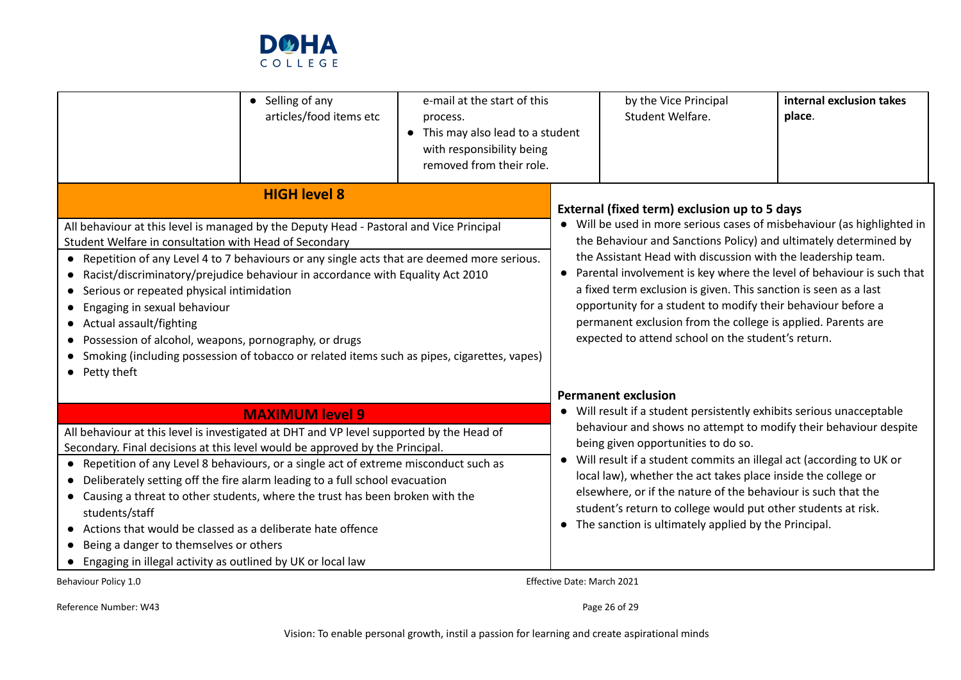

| • Selling of any<br>articles/food items etc                                                                                                                                                                                                                                                                                                                                                                                                                                                                                                                                                                                                                                                                           | e-mail at the start of this<br>process.<br>• This may also lead to a student<br>with responsibility being<br>removed from their role. | by the Vice Principal<br>Student Welfare.                                                                                                                                                                                                                                                                                                                                                                                                                                                                                                          | internal exclusion takes<br>place.                                                                                                               |
|-----------------------------------------------------------------------------------------------------------------------------------------------------------------------------------------------------------------------------------------------------------------------------------------------------------------------------------------------------------------------------------------------------------------------------------------------------------------------------------------------------------------------------------------------------------------------------------------------------------------------------------------------------------------------------------------------------------------------|---------------------------------------------------------------------------------------------------------------------------------------|----------------------------------------------------------------------------------------------------------------------------------------------------------------------------------------------------------------------------------------------------------------------------------------------------------------------------------------------------------------------------------------------------------------------------------------------------------------------------------------------------------------------------------------------------|--------------------------------------------------------------------------------------------------------------------------------------------------|
| <b>HIGH level 8</b><br>All behaviour at this level is managed by the Deputy Head - Pastoral and Vice Principal<br>Student Welfare in consultation with Head of Secondary<br>Repetition of any Level 4 to 7 behaviours or any single acts that are deemed more serious.<br>$\bullet$<br>Racist/discriminatory/prejudice behaviour in accordance with Equality Act 2010<br>Serious or repeated physical intimidation<br>$\bullet$<br>Engaging in sexual behaviour<br>$\bullet$<br>Actual assault/fighting<br>$\bullet$<br>Possession of alcohol, weapons, pornography, or drugs<br>$\bullet$<br>Smoking (including possession of tobacco or related items such as pipes, cigarettes, vapes)<br>Petty theft<br>$\bullet$ | $\bullet$                                                                                                                             | External (fixed term) exclusion up to 5 days<br>the Behaviour and Sanctions Policy) and ultimately determined by<br>the Assistant Head with discussion with the leadership team.<br>a fixed term exclusion is given. This sanction is seen as a last<br>opportunity for a student to modify their behaviour before a<br>permanent exclusion from the college is applied. Parents are<br>expected to attend school on the student's return.                                                                                                         | • Will be used in more serious cases of misbehaviour (as highlighted in<br>Parental involvement is key where the level of behaviour is such that |
| <b>MAXIMUM level 9</b><br>All behaviour at this level is investigated at DHT and VP level supported by the Head of<br>Secondary. Final decisions at this level would be approved by the Principal.<br>• Repetition of any Level 8 behaviours, or a single act of extreme misconduct such as<br>Deliberately setting off the fire alarm leading to a full school evacuation<br>$\bullet$<br>• Causing a threat to other students, where the trust has been broken with the<br>students/staff<br>Actions that would be classed as a deliberate hate offence<br>Being a danger to themselves or others<br>$\bullet$<br>Engaging in illegal activity as outlined by UK or local law<br>Behaviour Policy 1.0               | $\bullet$<br>Effective Date: March 2021                                                                                               | <b>Permanent exclusion</b><br>• Will result if a student persistently exhibits serious unacceptable<br>behaviour and shows no attempt to modify their behaviour despite<br>being given opportunities to do so.<br>Will result if a student commits an illegal act (according to UK or<br>local law), whether the act takes place inside the college or<br>elsewhere, or if the nature of the behaviour is such that the<br>student's return to college would put other students at risk.<br>• The sanction is ultimately applied by the Principal. |                                                                                                                                                  |

Reference Number: W43 Page 26 of 29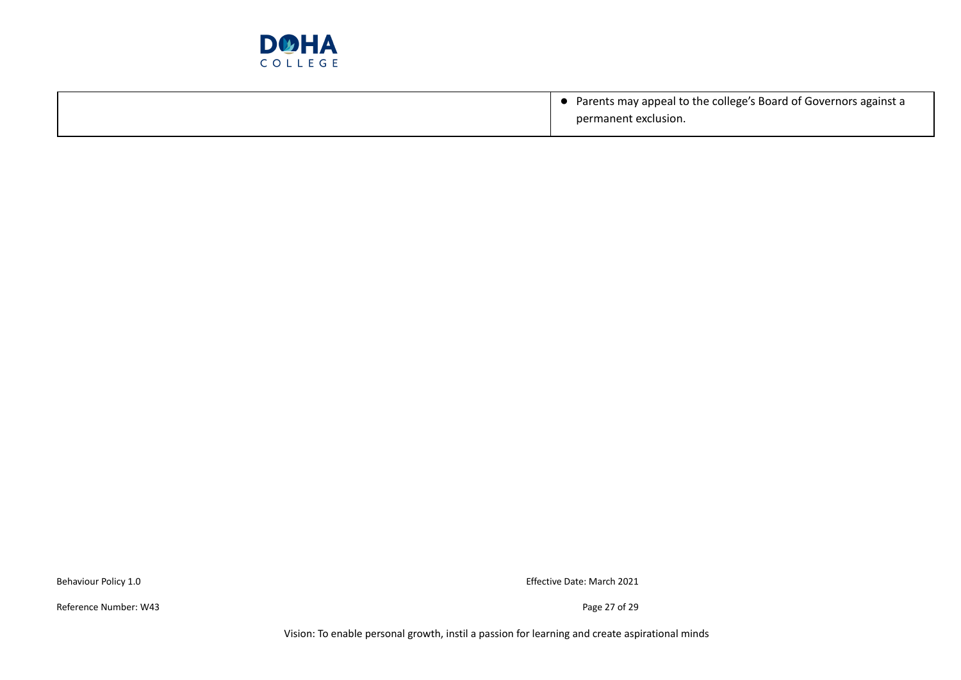

| Parents may appeal to the college's Board of Governors against a |  |
|------------------------------------------------------------------|--|
| permanent exclusion.                                             |  |

Behaviour Policy 1.0 extending the Second League of Effective Date: March 2021

Reference Number: W43 Page 27 of 29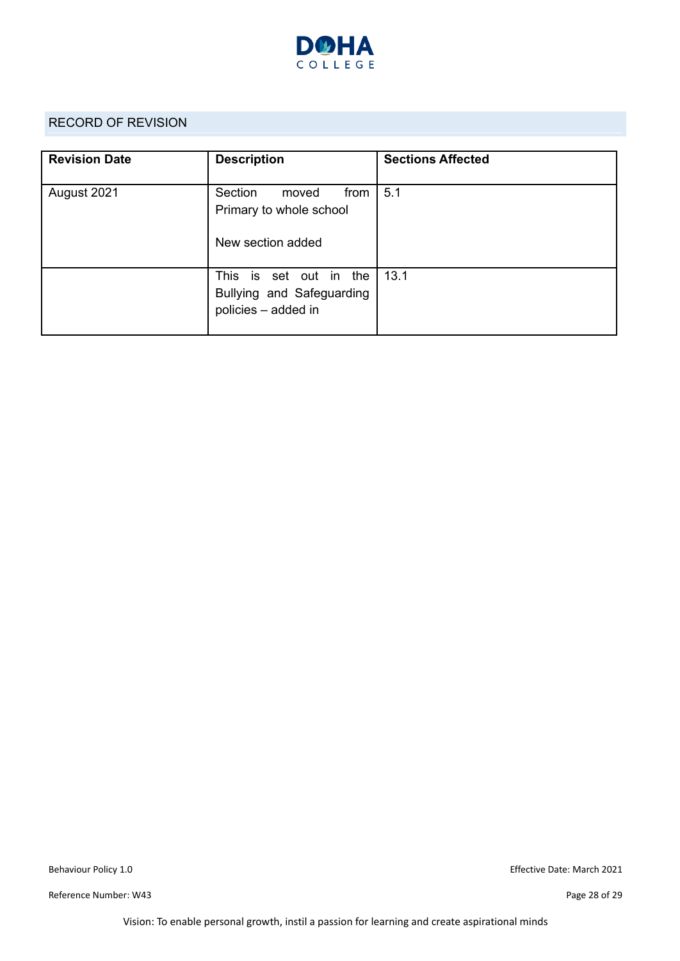

### <span id="page-27-0"></span>RECORD OF REVISION

| <b>Revision Date</b> | <b>Description</b>                                                         | <b>Sections Affected</b> |
|----------------------|----------------------------------------------------------------------------|--------------------------|
| August 2021          | Section<br>from<br>moved<br>Primary to whole school<br>New section added   | 5.1                      |
|                      | This is set out in the<br>Bullying and Safeguarding<br>policies - added in | 13.1                     |

Reference Number: W43 Page 28 of 29

Behaviour Policy 1.0 **Effective Date: March 2021**